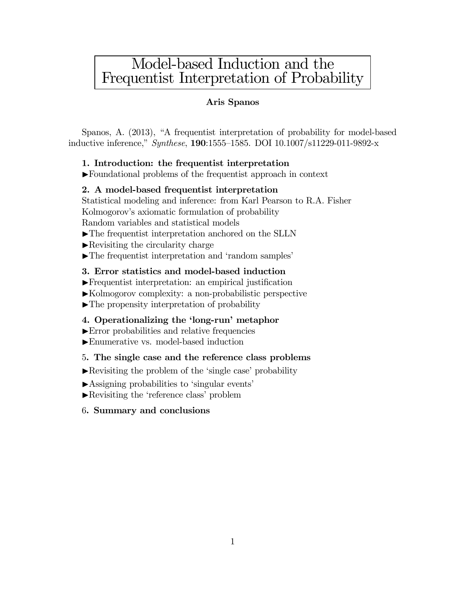# Model-based Induction and the Frequentist Interpretation of Probability

### Aris Spanos

Spanos, A. (2013), "A frequentist interpretation of probability for model-based inductive inference," Synthese, 190:1555—1585. DOI 10.1007/s11229-011-9892-x

### 1. Introduction: the frequentist interpretation

IFoundational problems of the frequentist approach in context

### 2. A model-based frequentist interpretation

Statistical modeling and inference: from Karl Pearson to R.A. Fisher Kolmogorov's axiomatic formulation of probability Random variables and statistical models

- $\blacktriangleright$  The frequentist interpretation anchored on the SLLN
- $\blacktriangleright$  Revisiting the circularity charge
- $\blacktriangleright$  The frequentist interpretation and 'random samples'

### 3. Error statistics and model-based induction

- $\blacktriangleright$  Frequentist interpretation: an empirical justification
- $\blacktriangleright$ Kolmogorov complexity: a non-probabilistic perspective
- $\blacktriangleright$  The propensity interpretation of probability

### 4. Operationalizing the 'long-run' metaphor

- $\blacktriangleright$  Error probabilities and relative frequencies
- IEnumerative vs. model-based induction

### 5. The single case and the reference class problems

- $\blacktriangleright$  Revisiting the problem of the 'single case' probability
- IAssigning probabilities to 'singular events'
- IRevisiting the 'reference class' problem
- 6. Summary and conclusions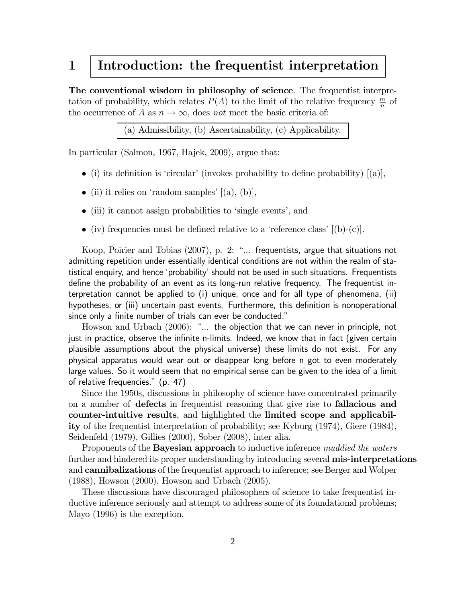# 1 Introduction: the frequentist interpretation

The conventional wisdom in philosophy of science. The frequentist interpretation of probability, which relates  $P(A)$  to the limit of the relative frequency  $\frac{m}{n}$  of the occurrence of A as  $n \to \infty$ , does not meet the basic criteria of:

(a) Admissibility, (b) Ascertainability, (c) Applicability.

In particular (Salmon, 1967, Hajek, 2009), argue that:

- (i) its definition is 'circular' (invokes probability to define probability)  $[(a)]$ ,
- (ii) it relies on 'random samples'  $[(a), (b)],$
- (iii) it cannot assign probabilities to 'single events', and
- (iv) frequencies must be defined relative to a 'reference class'  $[(b)-(c)]$ .

Koop, Poirier and Tobias (2007), p. 2: "... frequentists, argue that situations not admitting repetition under essentially identical conditions are not within the realm of statistical enquiry, and hence 'probability' should not be used in such situations. Frequentists define the probability of an event as its long-run relative frequency. The frequentist interpretation cannot be applied to (i) unique, once and for all type of phenomena, (ii) hypotheses, or (iii) uncertain past events. Furthermore, this definition is nonoperational since only a finite number of trials can ever be conducted."

Howson and Urbach (2006): "... the objection that we can never in principle, not just in practice, observe the infinite n-limits. Indeed, we know that in fact (given certain plausible assumptions about the physical universe) these limits do not exist. For any physical apparatus would wear out or disappear long before n got to even moderately large values. So it would seem that no empirical sense can be given to the idea of a limit of relative frequencies." (p. 47)

Since the 1950s, discussions in philosophy of science have concentrated primarily on a number of defects in frequentist reasoning that give rise to **fallacious and** counter-intuitive results, and highlighted the limited scope and applicability of the frequentist interpretation of probability; see Kyburg (1974), Giere (1984), Seidenfeld (1979), Gillies (2000), Sober (2008), inter alia.

Proponents of the **Bayesian approach** to inductive inference *muddied the waters* further and hindered its proper understanding by introducing several **mis-interpretations** and **cannibalizations** of the frequentist approach to inference; see Berger and Wolper (1988), Howson (2000), Howson and Urbach (2005).

These discussions have discouraged philosophers of science to take frequentist inductive inference seriously and attempt to address some of its foundational problems; Mayo (1996) is the exception.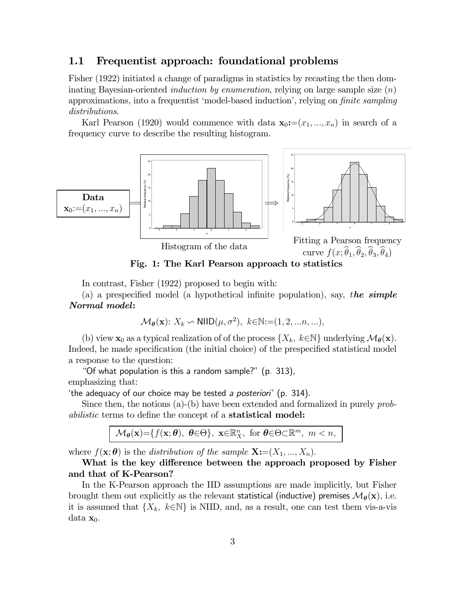## 1.1 Frequentist approach: foundational problems

Fisher (1922) initiated a change of paradigms in statistics by recasting the then dominating Bayesian-oriented *induction by enumeration*, relying on large sample size  $(n)$ approximations, into a frequentist 'model-based induction', relying on finite sampling distributions.

Karl Pearson (1920) would commence with data  $\mathbf{x}_0:=(x_1, ..., x_n)$  in search of a frequency curve to describe the resulting histogram.



Histogram of the data

curve  $f(x; \hat{\theta}_1, \hat{\theta}_2, \hat{\theta}_3, \hat{\theta}_4)$ 

Fig. 1: The Karl Pearson approach to statistics

In contrast, Fisher (1922) proposed to begin with:

(a) a prespecified model (a hypothetical infinite population), say, the simple Normal model:

$$
\mathcal{M}_{\theta}(\mathbf{x}) \colon X_k \backsim \text{NIID}(\mu, \sigma^2), \ k \in \mathbb{N} := (1, 2, \dots n, \dots),
$$

(b) view  $\mathbf{x}_0$  as a typical realization of of the process  $\{X_k, k \in \mathbb{N}\}\$  underlying  $\mathcal{M}_{\theta}(\mathbf{x})$ . Indeed, he made specification (the initial choice) of the prespecified statistical model a response to the question:

"Of what population is this a random sample?" (p. 313), emphasizing that:

'the adequacy of our choice may be tested a posteriori' (p. 314).

Since then, the notions (a)-(b) have been extended and formalized in purely probabilistic terms to define the concept of a **statistical model:** 

$$
\mathcal{M}_{\theta}(\mathbf{x}) = \{ f(\mathbf{x}; \theta), \ \theta \in \Theta \}, \ \mathbf{x} \in \mathbb{R}_{X}^{n}, \text{ for } \theta \in \Theta \subset \mathbb{R}^{m}, \ m < n,
$$

where  $f(\mathbf{x}; \boldsymbol{\theta})$  is the distribution of the sample  $\mathbf{X} := (X_1, ..., X_n)$ .

What is the key difference between the approach proposed by Fisher and that of K-Pearson?

In the K-Pearson approach the IID assumptions are made implicitly, but Fisher brought them out explicitly as the relevant statistical (inductive) premises  $\mathcal{M}_{\theta}(\mathbf{x})$ , i.e. it is assumed that  $\{X_k, k \in \mathbb{N}\}\$ is NIID, and, as a result, one can test them vis-a-vis  $data x_0$ .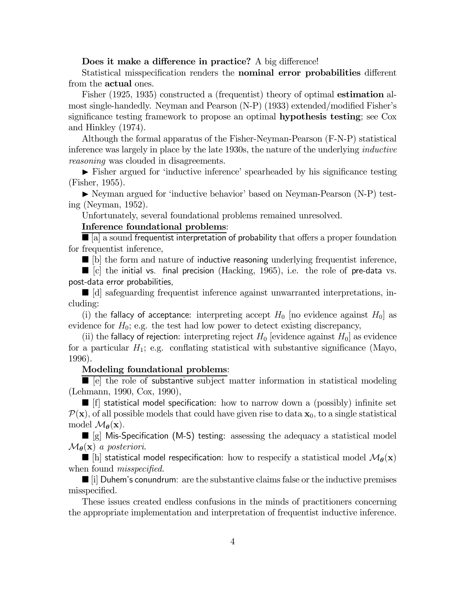### Does it make a difference in practice? A big difference!

Statistical misspecification renders the nominal error probabilities different from the **actual** ones.

Fisher (1925, 1935) constructed a (frequentist) theory of optimal estimation almost single-handedly. Neyman and Pearson (N-P) (1933) extended/modified Fisher's significance testing framework to propose an optimal **hypothesis testing**; see Cox and Hinkley (1974).

Although the formal apparatus of the Fisher-Neyman-Pearson (F-N-P) statistical inference was largely in place by the late 1930s, the nature of the underlying inductive reasoning was clouded in disagreements.

I Fisher argued for 'inductive inference' spearheaded by his significance testing (Fisher, 1955).

I Neyman argued for 'inductive behavior' based on Neyman-Pearson (N-P) testing (Neyman, 1952).

Unfortunately, several foundational problems remained unresolved.

### Inference foundational problems:

 $\blacksquare$  [a] a sound frequentist interpretation of probability that offers a proper foundation for frequentist inference,

 $\blacksquare$  [b] the form and nature of inductive reasoning underlying frequentist inference,

 $\Box$   $|c|$  the initial vs. final precision (Hacking, 1965), i.e. the role of pre-data vs. post-data error probabilities,

 $\blacksquare$  [d] safeguarding frequentist inference against unwarranted interpretations, including:

(i) the fallacy of acceptance: interpreting accept  $H_0$  [no evidence against  $H_0$ ] as evidence for  $H_0$ ; e.g. the test had low power to detect existing discrepancy,

(ii) the fallacy of rejection: interpreting reject  $H_0$  [evidence against  $H_0$ ] as evidence for a particular  $H_1$ ; e.g. conflating statistical with substantive significance (Mayo, 1996).

### Modeling foundational problems:

 $\blacksquare$  [e] the role of substantive subject matter information in statistical modeling (Lehmann, 1990, Cox, 1990),

 $\blacksquare$  [f] statistical model specification: how to narrow down a (possibly) infinite set  $P(x)$ , of all possible models that could have given rise to data  $x_0$ , to a single statistical model  $\mathcal{M}_{\theta}(\mathbf{x})$ .

 $\blacksquare$  [g] Mis-Specification (M-S) testing: assessing the adequacy a statistical model  $\mathcal{M}_{\theta}(\mathbf{x})$  a posteriori.

 $\blacksquare$  [h] statistical model respecification: how to respecify a statistical model  $\mathcal{M}_{\theta}(\mathbf{x})$ when found *misspecified*.

 $\Box$  i Duhem's conundrum: are the substantive claims false or the inductive premises misspecified.

These issues created endless confusions in the minds of practitioners concerning the appropriate implementation and interpretation of frequentist inductive inference.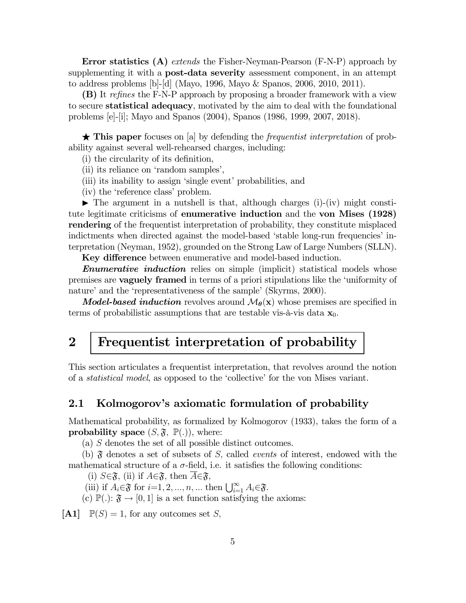Error statistics (A) extends the Fisher-Neyman-Pearson (F-N-P) approach by supplementing it with a **post-data severity** assessment component, in an attempt to address problems [b]-[d] (Mayo, 1996, Mayo & Spanos, 2006, 2010, 2011).

(B) It refines the F-N-P approach by proposing a broader framework with a view to secure statistical adequacy, motivated by the aim to deal with the foundational problems [e]-[i]; Mayo and Spanos (2004), Spanos (1986, 1999, 2007, 2018).

 $\star$  This paper focuses on [a] by defending the *frequentist interpretation* of probability against several well-rehearsed charges, including:

(i) the circularity of its definition,

(ii) its reliance on 'random samples',

(iii) its inability to assign 'single event' probabilities, and

(iv) the 'reference class' problem.

 $\blacktriangleright$  The argument in a nutshell is that, although charges (i)-(iv) might constitute legitimate criticisms of enumerative induction and the von Mises (1928) rendering of the frequentist interpretation of probability, they constitute misplaced indictments when directed against the model-based 'stable long-run frequencies' interpretation (Neyman, 1952), grounded on the Strong Law of Large Numbers (SLLN).

Key difference between enumerative and model-based induction.

**Enumerative induction** relies on simple (implicit) statistical models whose premises are vaguely framed in terms of a priori stipulations like the 'uniformity of nature' and the 'representativeness of the sample' (Skyrms, 2000).

**Model-based induction** revolves around  $\mathcal{M}_{\theta}(\mathbf{x})$  whose premises are specified in terms of probabilistic assumptions that are testable vis-à-vis data  $x_0$ .

# 2 Frequentist interpretation of probability

This section articulates a frequentist interpretation, that revolves around the notion of a statistical model, as opposed to the 'collective' for the von Mises variant.

## 2.1 Kolmogorov's axiomatic formulation of probability

Mathematical probability, as formalized by Kolmogorov (1933), takes the form of a **probability space**  $(S, \mathfrak{F}, \mathbb{P}(.)$ , where:

(a)  $S$  denotes the set of all possible distinct outcomes.

(b)  $\mathfrak F$  denotes a set of subsets of S, called *events* of interest, endowed with the mathematical structure of a  $\sigma$ -field, i.e. it satisfies the following conditions:

(i)  $S \in \mathfrak{F}$ , (ii) if  $A \in \mathfrak{F}$ , then  $A \in \mathfrak{F}$ ,

(iii) if  $A_i \in \mathfrak{F}$  for  $i=1,2,...,n, ...$  then  $\bigcup_{i=1}^{\infty} A_i \in \mathfrak{F}$ .

(c)  $\mathbb{P}(.): \mathfrak{F} \to [0,1]$  is a set function satisfying the axioms:

 $[A1] \quad \mathbb{P}(S) = 1$ , for any outcomes set S,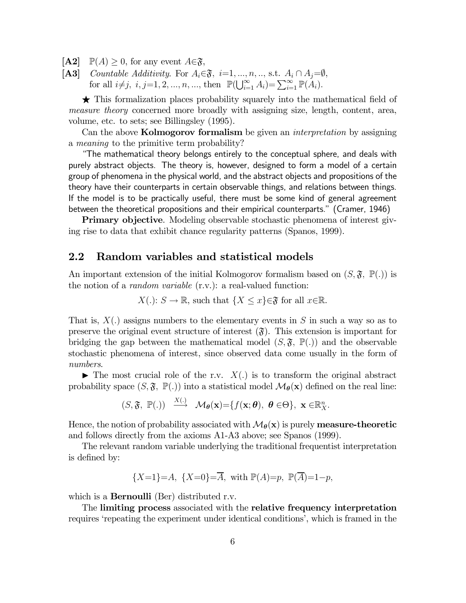- $[A2] \quad \mathbb{P}(A) \geq 0$ , for any event  $A \in \mathfrak{F}$ ,
- [A3] Countable Additivity. For  $A_i \in \mathfrak{F}$ ,  $i=1, ..., n, ...,$  s.t.  $A_i \cap A_j = \emptyset$ , for all  $i \neq j$ ,  $i, j = 1, 2, ..., n, ...,$  then  $\mathbb{P}(\bigcup_{i=1}^{\infty} A_i) = \sum_{i=1}^{\infty} \mathbb{P}(A_i)$ .

 $\star$  This formalization places probability squarely into the mathematical field of measure theory concerned more broadly with assigning size, length, content, area, volume, etc. to sets; see Billingsley (1995).

Can the above **Kolmogorov formalism** be given an *interpretation* by assigning a meaning to the primitive term probability?

"The mathematical theory belongs entirely to the conceptual sphere, and deals with purely abstract objects. The theory is, however, designed to form a model of a certain group of phenomena in the physical world, and the abstract objects and propositions of the theory have their counterparts in certain observable things, and relations between things. If the model is to be practically useful, there must be some kind of general agreement between the theoretical propositions and their empirical counterparts." (Cramer, 1946)

Primary objective. Modeling observable stochastic phenomena of interest giving rise to data that exhibit chance regularity patterns (Spanos, 1999).

# 2.2 Random variables and statistical models

An important extension of the initial Kolmogorov formalism based on  $(S, \mathfrak{F}, \mathbb{P}(.)$  is the notion of a *random variable*  $(r.v.)$ : a real-valued function:

$$
X(.)
$$
:  $S \to \mathbb{R}$ , such that  $\{X \le x\} \in \mathfrak{F}$  for all  $x \in \mathbb{R}$ .

That is,  $X(.)$  assigns numbers to the elementary events in S in such a way so as to preserve the original event structure of interest  $(\mathfrak{F})$ . This extension is important for bridging the gap between the mathematical model  $(S, \mathfrak{F}, \mathbb{P}(.)$  and the observable stochastic phenomena of interest, since observed data come usually in the form of numbers.

 $\blacktriangleright$  The most crucial role of the r.v.  $X(.)$  is to transform the original abstract probability space  $(S, \mathfrak{F}, \mathbb{P}(.))$  into a statistical model  $\mathcal{M}_{\theta}(\mathbf{x})$  defined on the real line:

$$
(S, \mathfrak{F}, \mathbb{P}(.)) \xrightarrow{X(.)} \mathcal{M}_{\theta}(\mathbf{x}) = \{ f(\mathbf{x}; \theta), \ \theta \in \Theta \}, \ \mathbf{x} \in \mathbb{R}_{X}^{n}.
$$

Hence, the notion of probability associated with  $\mathcal{M}_{\theta}(\mathbf{x})$  is purely **measure-theoretic** and follows directly from the axioms A1-A3 above; see Spanos (1999).

The relevant random variable underlying the traditional frequentist interpretation is defined by:

$$
\{X=1\}=A, \ \{X=0\}=\overline{A}, \ \text{with } \mathbb{P}(A)=p, \ \mathbb{P}(\overline{A})=1-p,
$$

which is a **Bernoulli** (Ber) distributed r.v.

The limiting process associated with the relative frequency interpretation requires 'repeating the experiment under identical conditions', which is framed in the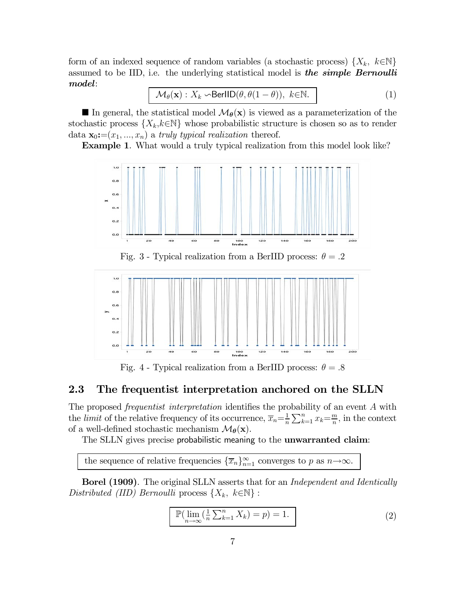form of an indexed sequence of random variables (a stochastic process)  $\{X_k, k \in \mathbb{N}\}\$ assumed to be IID, i.e. the underlying statistical model is **the simple Bernoulli** model:

$$
\mathcal{M}_{\theta}(\mathbf{x}): X_k \sim \text{BerIID}(\theta, \theta(1-\theta)), \ k \in \mathbb{N}.
$$
 (1)

In general, the statistical model  $\mathcal{M}_{\theta}(\mathbf{x})$  is viewed as a parameterization of the stochastic process  $\{X_k, k \in \mathbb{N}\}\$  whose probabilistic structure is chosen so as to render data  $\mathbf{x}_0:=(x_1, ..., x_n)$  a truly typical realization thereof.

Example 1. What would a truly typical realization from this model look like?



Fig. 4 - Typical realization from a BerIID process:  $\theta = .8$ 

# 2.3 The frequentist interpretation anchored on the SLLN

The proposed *frequentist interpretation* identifies the probability of an event  $A$  with the *limit* of the relative frequency of its occurrence,  $\overline{x}_n = \frac{1}{n} \sum_{k=1}^n x_k = \frac{m}{n}$ , in the context of a well-defined stochastic mechanism  $\mathcal{M}_{\theta}(\mathbf{x})$ .

The SLLN gives precise probabilistic meaning to the **unwarranted claim**:

the sequence of relative frequencies  $\{\overline{x}_n\}_{n=1}^{\infty}$  converges to p as  $n \rightarrow \infty$ .

Borel (1909). The original SLLN asserts that for an Independent and Identically Distributed (IID) Bernoulli process  $\{X_k, k \in \mathbb{N}\}$ :

$$
\mathbb{P}(\lim_{n \to \infty} (\frac{1}{n} \sum_{k=1}^{n} X_k) = p) = 1.
$$
 (2)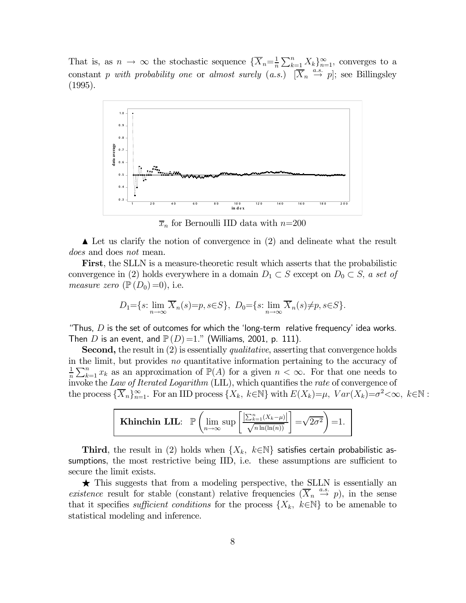That is, as  $n \to \infty$  the stochastic sequence  $\{\overline{X}_n = \frac{1}{n} \sum_{k=1}^n X_k\}_{n=1}^{\infty}$ , converges to a constant p with probability one or almost surely  $(a.s.) \quad [\overline{X}_n \stackrel{a.s.}{\rightarrow} p]$ ; see Billingsley (1995).



 $\overline{x}_n$  for Bernoulli IID data with  $n{=}200$ 

 $\blacktriangle$  Let us clarify the notion of convergence in (2) and delineate what the result does and does not mean.

First, the SLLN is a measure-theoretic result which asserts that the probabilistic convergence in (2) holds everywhere in a domain  $D_1 \subset S$  except on  $D_0 \subset S$ , a set of measure zero  $(\mathbb{P}(D_0)=0)$ , i.e.

$$
D_1 = \{s: \lim_{n \to \infty} \overline{X}_n(s) = p, s \in S\}, D_0 = \{s: \lim_{n \to \infty} \overline{X}_n(s) \neq p, s \in S\}.
$$

"Thus,  $D$  is the set of outcomes for which the 'long-term relative frequency' idea works. Then D is an event, and  $P(D)=1$ ." (Williams, 2001, p. 111).

**Second,** the result in (2) is essentially *qualitative*, asserting that convergence holds in the limit, but provides no quantitative information pertaining to the accuracy of 1  $\frac{1}{n}\sum_{k=1}^n x_k$  as an approximation of  $\mathbb{P}(A)$  for a given  $n < \infty$ . For that one needs to invoke the Law of Iterated Logarithm (LIL), which quantifies the rate of convergence of the process  ${\{\overline{X}_n\}}_{n=1}^{\infty}$ . For an IID process  ${\{X_k, k \in \mathbb{N}\}\}\$ with  $E(X_k)=\mu$ ,  $Var(X_k)=\sigma^2<\infty$ ,  $k \in \mathbb{N}$ :



Third, the result in (2) holds when  $\{X_k, k \in \mathbb{N}\}$  satisfies certain probabilistic assumptions, the most restrictive being IID, i.e. these assumptions are sufficient to secure the limit exists.

 $\star$  This suggests that from a modeling perspective, the SLLN is essentially an existence result for stable (constant) relative frequencies  $(\overline{X}_n \stackrel{a.s.}{\rightarrow} p)$ , in the sense that it specifies sufficient conditions for the process  $\{X_k, k \in \mathbb{N}\}\)$  to be amenable to statistical modeling and inference.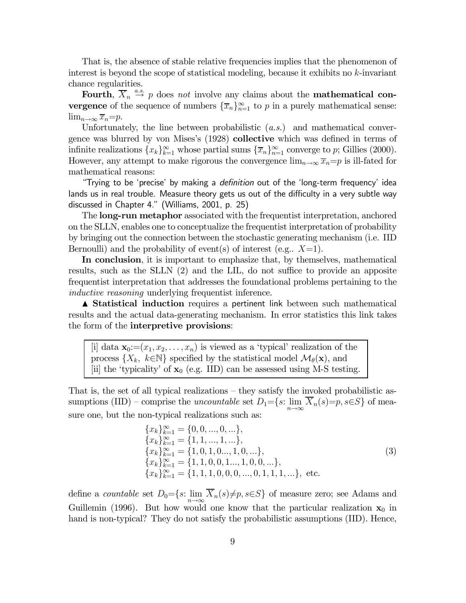That is, the absence of stable relative frequencies implies that the phenomenon of interest is beyond the scope of statistical modeling, because it exhibits no  $k$ -invariant chance regularities.

Fourth,  $\overline{X}_n \stackrel{a.s.}{\rightarrow} p$  does not involve any claims about the **mathematical convergence** of the sequence of numbers  $\{\overline{x}_n\}_{n=1}^{\infty}$  to p in a purely mathematical sense:  $\lim_{n\to\infty} \overline{x}_n = p.$ 

Unfortunately, the line between probabilistic  $(a.s.)$  and mathematical convergence was blurred by von Mises's (1928) collective which was defined in terms of infinite realizations  ${x_k}_{k=1}^{\infty}$  whose partial sums  ${\overline{x}_n}_{n=1}^{\infty}$  converge to p; Gillies (2000). However, any attempt to make rigorous the convergence  $\lim_{n\to\infty} \overline{x}_n = p$  is ill-fated for mathematical reasons:

"Trying to be 'precise' by making a definition out of the 'long-term frequency' idea lands us in real trouble. Measure theory gets us out of the difficulty in a very subtle way discussed in Chapter 4." (Williams, 2001, p. 25)

The long-run metaphor associated with the frequentist interpretation, anchored on the SLLN, enables one to conceptualize the frequentist interpretation of probability by bringing out the connection between the stochastic generating mechanism (i.e. IID Bernoulli) and the probability of event(s) of interest (e.g..  $X=1$ ).

In conclusion, it is important to emphasize that, by themselves, mathematical results, such as the SLLN (2) and the LIL, do not suffice to provide an apposite frequentist interpretation that addresses the foundational problems pertaining to the inductive reasoning underlying frequentist inference.

**▲ Statistical induction** requires a pertinent link between such mathematical results and the actual data-generating mechanism. In error statistics this link takes the form of the interpretive provisions:

[i] data  $\mathbf{x}_0=(x_1, x_2, \ldots, x_n)$  is viewed as a 'typical' realization of the process  $\{X_k, k \in \mathbb{N}\}\$  specified by the statistical model  $\mathcal{M}_{\theta}(\mathbf{x})$ , and [ii] the 'typicality' of  $\mathbf{x}_0$  (e.g. IID) can be assessed using M-S testing.

That is, the set of all typical realizations — they satisfy the invoked probabilistic assumptions (IID) – comprise the uncountable set  $D_1={s:\lim_{n\to\infty}\overline{X}_n(s)=p, s\in S}$  of measure one, but the non-typical realizations such as:

$$
\begin{aligned}\n\{x_k\}_{k=1}^{\infty} &= \{0, 0, \ldots, 0, \ldots\}, \\
\{x_k\}_{k=1}^{\infty} &= \{1, 1, \ldots, 1, \ldots\}, \\
\{x_k\}_{k=1}^{\infty} &= \{1, 0, 1, 0 \ldots, 1, 0, \ldots\}, \\
\{x_k\}_{k=1}^{\infty} &= \{1, 1, 0, 0, 1 \ldots, 1, 0, 0, \ldots\}, \\
\{x_k\}_{k=1}^{\infty} &= \{1, 1, 1, 0, 0, 0, \ldots, 0, 1, 1, 1, \ldots\}, \text{ etc.}\n\end{aligned}\n\tag{3}
$$

define a countable set  $D_0={s:\lim_{n\to\infty}X_n(s)\neq p, s\in S}$  of measure zero; see Adams and Guillemin (1996). But how would one know that the particular realization  $x_0$  in hand is non-typical? They do not satisfy the probabilistic assumptions (IID). Hence,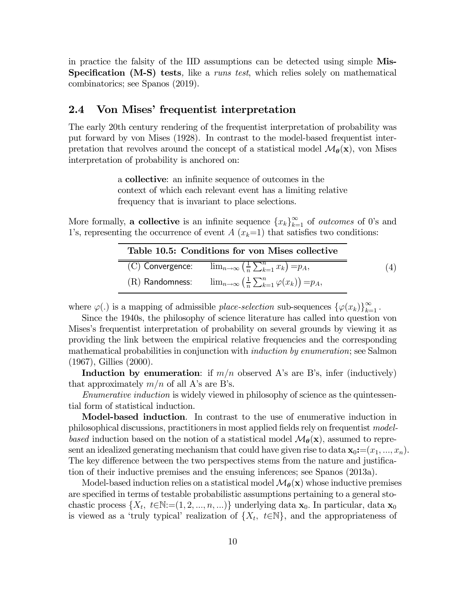in practice the falsity of the IID assumptions can be detected using simple Mis-Specification (M-S) tests, like a *runs test*, which relies solely on mathematical combinatorics; see Spanos (2019).

# 2.4 Von Mises' frequentist interpretation

 $\equiv$ 

The early 20th century rendering of the frequentist interpretation of probability was put forward by von Mises (1928). In contrast to the model-based frequentist interpretation that revolves around the concept of a statistical model  $\mathcal{M}_{\theta}(\mathbf{x})$ , von Mises interpretation of probability is anchored on:

> a collective: an infinite sequence of outcomes in the context of which each relevant event has a limiting relative frequency that is invariant to place selections.

More formally, **a collective** is an infinite sequence  ${x_k}_{k=1}^{\infty}$  of *outcomes* of 0's and 1's, representing the occurrence of event  $A(x_k=1)$  that satisfies two conditions:

| Table 10.5: Conditions for von Mises collective |                                                                                              |  |
|-------------------------------------------------|----------------------------------------------------------------------------------------------|--|
|                                                 | (C) Convergence: $\lim_{n\to\infty} \left(\frac{1}{n}\sum_{k=1}^n x_k\right) = p_A,$         |  |
|                                                 | (R) Randomness: $\lim_{n\to\infty} \left(\frac{1}{n}\sum_{k=1}^n \varphi(x_k)\right) = p_A,$ |  |

where  $\varphi(.)$  is a mapping of admissible place-selection sub-sequences  $\{\varphi(x_k)\}_{k=1}^{\infty}$ .

Since the 1940s, the philosophy of science literature has called into question von Mises's frequentist interpretation of probability on several grounds by viewing it as providing the link between the empirical relative frequencies and the corresponding mathematical probabilities in conjunction with *induction by enumeration*; see Salmon (1967), Gillies (2000).

Induction by enumeration: if  $m/n$  observed A's are B's, infer (inductively) that approximately  $m/n$  of all A's are B's.

Enumerative induction is widely viewed in philosophy of science as the quintessential form of statistical induction.

Model-based induction. In contrast to the use of enumerative induction in philosophical discussions, practitioners in most applied fields rely on frequentist modelbased induction based on the notion of a statistical model  $\mathcal{M}_{\theta}(\mathbf{x})$ , assumed to represent an idealized generating mechanism that could have given rise to data  $\mathbf{x}_0:=(x_1, ..., x_n)$ . The key difference between the two perspectives stems from the nature and justification of their inductive premises and the ensuing inferences; see Spanos (2013a).

Model-based induction relies on a statistical model  $\mathcal{M}_{\theta}(\mathbf{x})$  whose inductive premises are specified in terms of testable probabilistic assumptions pertaining to a general stochastic process  $\{X_t, t \in \mathbb{N} := (1, 2, ..., n, ...) \}$  underlying data  $\mathbf{x}_0$ . In particular, data  $\mathbf{x}_0$ is viewed as a 'truly typical' realization of  $\{X_t, t \in \mathbb{N}\}\$ , and the appropriateness of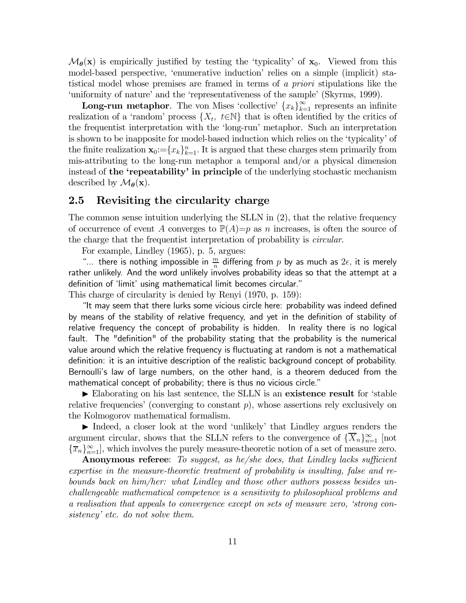$\mathcal{M}_{\theta}(\mathbf{x})$  is empirically justified by testing the 'typicality' of  $\mathbf{x}_0$ . Viewed from this model-based perspective, 'enumerative induction' relies on a simple (implicit) statistical model whose premises are framed in terms of a priori stipulations like the 'uniformity of nature' and the 'representativeness of the sample' (Skyrms, 1999).

**Long-run metaphor.** The von Mises 'collective'  ${x_k}_{k=1}^{\infty}$  represents an infinite realization of a 'random' process  $\{X_t, t \in \mathbb{N}\}\$  that is often identified by the critics of the frequentist interpretation with the 'long-run' metaphor. Such an interpretation is shown to be inapposite for model-based induction which relies on the 'typicality' of the finite realization  $\mathbf{x}_0 := \{x_k\}_{k=1}^n$ . It is argued that these charges stem primarily from mis-attributing to the long-run metaphor a temporal and/or a physical dimension instead of the 'repeatability' in principle of the underlying stochastic mechanism described by  $\mathcal{M}_{\theta}(\mathbf{x})$ .

# 2.5 Revisiting the circularity charge

The common sense intuition underlying the SLLN in (2), that the relative frequency of occurrence of event A converges to  $\mathbb{P}(A)=p$  as n increases, is often the source of the charge that the frequentist interpretation of probability is circular.

For example, Lindley (1965), p. 5, argues:

"... there is nothing impossible in  $\frac{m}{n}$  differing from  $p$  by as much as  $2\epsilon$ , it is merely rather unlikely. And the word unlikely involves probability ideas so that the attempt at a definition of 'limit' using mathematical limit becomes circular."

This charge of circularity is denied by Renyi (1970, p. 159):

"It may seem that there lurks some vicious circle here: probability was indeed defined by means of the stability of relative frequency, and yet in the definition of stability of relative frequency the concept of probability is hidden. In reality there is no logical fault. The "definition" of the probability stating that the probability is the numerical value around which the relative frequency is fluctuating at random is not a mathematical definition: it is an intuitive description of the realistic background concept of probability. Bernoulli's law of large numbers, on the other hand, is a theorem deduced from the mathematical concept of probability; there is thus no vicious circle."

 $\blacktriangleright$  Elaborating on his last sentence, the SLLN is an existence result for 'stable relative frequencies' (converging to constant  $p$ ), whose assertions rely exclusively on the Kolmogorov mathematical formalism.

Indeed, a closer look at the word 'unlikely' that Lindley argues renders the argument circular, shows that the SLLN refers to the convergence of  $\{X_n\}_{n=1}^{\infty}$  [not  ${\lbrace \overline{x}_n \rbrace}_{n=1}^{\infty}$ , which involves the purely measure-theoretic notion of a set of measure zero.

Anonymous referee: To suggest, as he/she does, that Lindley lacks sufficient expertise in the measure-theoretic treatment of probability is insulting, false and rebounds back on him/her: what Lindley and those other authors possess besides unchallengeable mathematical competence is a sensitivity to philosophical problems and a realisation that appeals to convergence except on sets of measure zero, 'strong consistency' etc. do not solve them.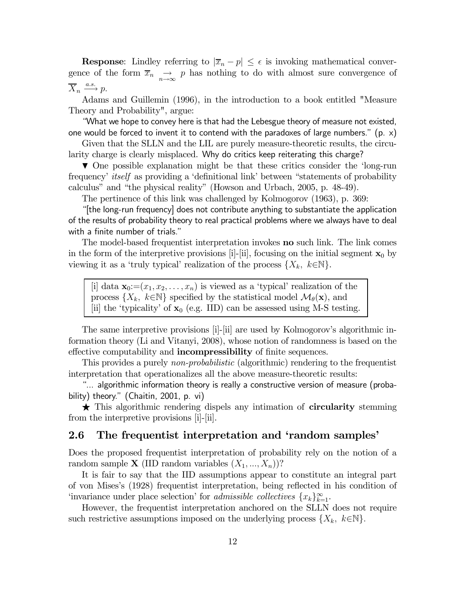**Response:** Lindley referring to  $|\overline{x}_n - p| \leq \epsilon$  is invoking mathematical convergence of the form  $\overline{x}_n \rightarrow \overline{p}$  has nothing to do with almost sure convergence of  $\overline{X}_n \xrightarrow{a.s.} p.$ 

Adams and Guillemin (1996), in the introduction to a book entitled "Measure Theory and Probability", argue:

"What we hope to convey here is that had the Lebesgue theory of measure not existed, one would be forced to invent it to contend with the paradoxes of large numbers." (p.  $\times$ )

Given that the SLLN and the LIL are purely measure-theoretic results, the circularity charge is clearly misplaced. Why do critics keep reiterating this charge?

 $\blacktriangledown$  One possible explanation might be that these critics consider the 'long-run frequency' itself as providing a 'definitional link' between "statements of probability calculus" and "the physical reality" (Howson and Urbach, 2005, p. 48-49).

The pertinence of this link was challenged by Kolmogorov (1963), p. 369:

"[the long-run frequency] does not contribute anything to substantiate the application of the results of probability theory to real practical problems where we always have to deal with a finite number of trials."

The model-based frequentist interpretation invokes no such link. The link comes in the form of the interpretive provisions [i]-[ii], focusing on the initial segment  $x_0$  by viewing it as a 'truly typical' realization of the process  $\{X_k, k \in \mathbb{N}\}.$ 

[i] data  $\mathbf{x}_0 := (x_1, x_2, \ldots, x_n)$  is viewed as a 'typical' realization of the process  $\{X_k, k \in \mathbb{N}\}\$  specified by the statistical model  $\mathcal{M}_{\theta}(\mathbf{x})$ , and [ii] the 'typicality' of  $\mathbf{x}_0$  (e.g. IID) can be assessed using M-S testing.

The same interpretive provisions [i]-[ii] are used by Kolmogorov's algorithmic information theory (Li and Vitanyi, 2008), whose notion of randomness is based on the effective computability and **incompressibility** of finite sequences.

This provides a purely non-probabilistic (algorithmic) rendering to the frequentist interpretation that operationalizes all the above measure-theoretic results:

"... algorithmic information theory is really a constructive version of measure (probability) theory." (Chaitin, 2001, p. vi)

 $\star$  This algorithmic rendering dispels any intimation of **circularity** stemming from the interpretive provisions [i]-[ii].

## 2.6 The frequentist interpretation and 'random samples'

Does the proposed frequentist interpretation of probability rely on the notion of a random sample **X** (IID random variables  $(X_1, ..., X_n)$ )?

It is fair to say that the IID assumptions appear to constitute an integral part of von Mises's (1928) frequentist interpretation, being reflected in his condition of 'invariance under place selection' for *admissible collectives*  $\{x_k\}_{k=1}^{\infty}$ .

However, the frequentist interpretation anchored on the SLLN does not require such restrictive assumptions imposed on the underlying process  $\{X_k, k \in \mathbb{N}\}\$ .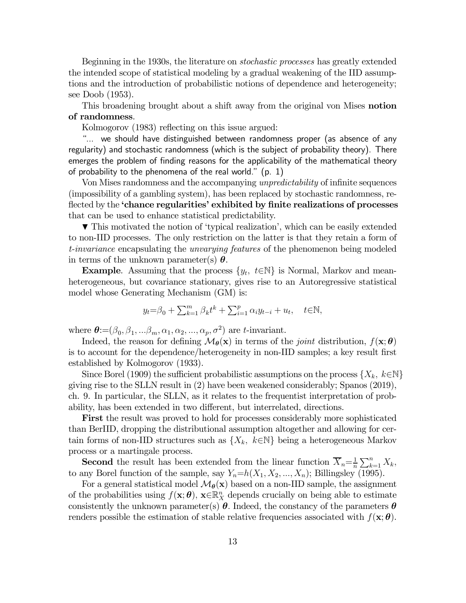Beginning in the 1930s, the literature on stochastic processes has greatly extended the intended scope of statistical modeling by a gradual weakening of the IID assumptions and the introduction of probabilistic notions of dependence and heterogeneity; see Doob (1953).

This broadening brought about a shift away from the original von Mises **notion** of randomness.

Kolmogorov (1983) reflecting on this issue argued:

"... we should have distinguished between randomness proper (as absence of any regularity) and stochastic randomness (which is the subject of probability theory). There emerges the problem of finding reasons for the applicability of the mathematical theory of probability to the phenomena of the real world."  $(p. 1)$ 

Von Mises randomness and the accompanying unpredictability of infinite sequences (impossibility of a gambling system), has been replaced by stochastic randomness, reflected by the 'chance regularities' exhibited by finite realizations of processes that can be used to enhance statistical predictability.

 $\blacktriangledown$  This motivated the notion of 'typical realization', which can be easily extended to non-IID processes. The only restriction on the latter is that they retain a form of t-invariance encapsulating the unvarying features of the phenomenon being modeled in terms of the unknown parameter(s)  $\theta$ .

**Example.** Assuming that the process  $\{y_t, t \in \mathbb{N}\}\$ is Normal, Markov and meanheterogeneous, but covariance stationary, gives rise to an Autoregressive statistical model whose Generating Mechanism (GM) is:

$$
y_t = \beta_0 + \sum_{k=1}^m \beta_k t^k + \sum_{i=1}^p \alpha_i y_{t-i} + u_t, \quad t \in \mathbb{N},
$$

where  $\boldsymbol{\theta}$ := $(\beta_0, \beta_1, \ldots, \beta_m, \alpha_1, \alpha_2, \ldots, \alpha_p, \sigma^2)$  are *t*-invariant.

Indeed, the reason for defining  $\mathcal{M}_{\theta}(\mathbf{x})$  in terms of the *joint* distribution,  $f(\mathbf{x}; \theta)$ is to account for the dependence/heterogeneity in non-IID samples; a key result first established by Kolmogorov (1933).

Since Borel (1909) the sufficient probabilistic assumptions on the process  $\{X_k, k \in \mathbb{N}\}\$ giving rise to the SLLN result in (2) have been weakened considerably; Spanos (2019), ch. 9. In particular, the SLLN, as it relates to the frequentist interpretation of probability, has been extended in two different, but interrelated, directions.

First the result was proved to hold for processes considerably more sophisticated than BerIID, dropping the distributional assumption altogether and allowing for certain forms of non-IID structures such as  $\{X_k, k \in \mathbb{N}\}\$  being a heterogeneous Markov process or a martingale process.

**Second** the result has been extended from the linear function  $\overline{X}_n = \frac{1}{n} \sum_{k=1}^n X_k$ , to any Borel function of the sample, say  $Y_n=h(X_1, X_2, ..., X_n)$ ; Billingsley (1995).

For a general statistical model  $\mathcal{M}_{\theta}(\mathbf{x})$  based on a non-IID sample, the assignment of the probabilities using  $f(\mathbf{x}; \boldsymbol{\theta})$ ,  $\mathbf{x} \in \mathbb{R}_{X}^{n}$  depends crucially on being able to estimate consistently the unknown parameter(s)  $\theta$ . Indeed, the constancy of the parameters  $\theta$ renders possible the estimation of stable relative frequencies associated with  $f(\mathbf{x}; \theta)$ .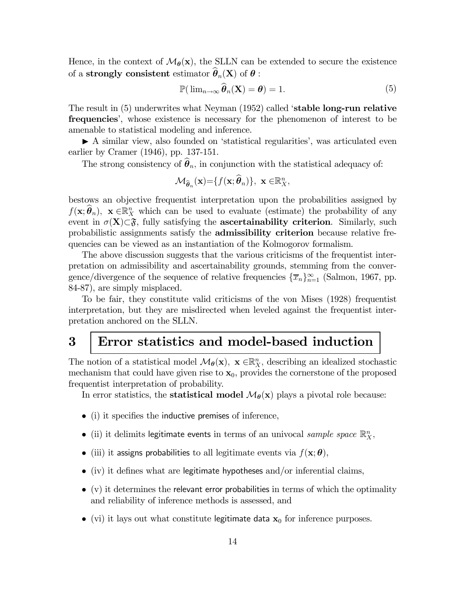Hence, in the context of  $\mathcal{M}_{\theta}(\mathbf{x})$ , the SLLN can be extended to secure the existence of a strongly consistent estimator  $\widehat{\theta}_n(X)$  of  $\theta$  :

$$
\mathbb{P}(\lim_{n\to\infty}\widehat{\boldsymbol{\theta}}_n(\mathbf{X})=\boldsymbol{\theta})=1.
$$
 (5)

The result in (5) underwrites what Neyman (1952) called 'stable long-run relative frequencies', whose existence is necessary for the phenomenon of interest to be amenable to statistical modeling and inference.

 $\blacktriangleright$  A similar view, also founded on 'statistical regularities', was articulated even earlier by Cramer (1946), pp. 137-151.

The strong consistency of  $\hat{\theta}_n$ , in conjunction with the statistical adequacy of:

$$
\mathcal{M}_{\widehat{\boldsymbol{\theta}}_n}(\mathbf{x}) = \{f(\mathbf{x}; \widehat{\boldsymbol{\theta}}_n)\}, \ \mathbf{x} \in \mathbb{R}_{X}^n,
$$

bestows an objective frequentist interpretation upon the probabilities assigned by  $f(\mathbf{x}; \hat{\theta}_n)$ ,  $\mathbf{x} \in \mathbb{R}^n$  which can be used to evaluate (estimate) the probability of any event in  $\sigma(X)\subset \mathfrak{F}$ , fully satisfying the **ascertainability criterion**. Similarly, such probabilistic assignments satisfy the admissibility criterion because relative frequencies can be viewed as an instantiation of the Kolmogorov formalism.

The above discussion suggests that the various criticisms of the frequentist interpretation on admissibility and ascertainability grounds, stemming from the convergence/divergence of the sequence of relative frequencies  $\{\overline{x}_n\}_{n=1}^{\infty}$  (Salmon, 1967, pp. 84-87), are simply misplaced.

To be fair, they constitute valid criticisms of the von Mises (1928) frequentist interpretation, but they are misdirected when leveled against the frequentist interpretation anchored on the SLLN.

# 3 Error statistics and model-based induction

The notion of a statistical model  $\mathcal{M}_{\theta}(\mathbf{x})$ ,  $\mathbf{x} \in \mathbb{R}_{X}^{n}$ , describing an idealized stochastic mechanism that could have given rise to  $\mathbf{x}_0$ , provides the cornerstone of the proposed frequentist interpretation of probability.

In error statistics, the **statistical model**  $\mathcal{M}_{\theta}(\mathbf{x})$  plays a pivotal role because:

- (i) it specifies the inductive premises of inference,
- (ii) it delimits legitimate events in terms of an univocal sample space  $\mathbb{R}^n$ ,
- (iii) it assigns probabilities to all legitimate events via  $f(\mathbf{x}; \boldsymbol{\theta})$ ,
- $\bullet$  (iv) it defines what are legitimate hypotheses and/or inferential claims,
- $\bullet$  (v) it determines the relevant error probabilities in terms of which the optimality and reliability of inference methods is assessed, and
- (vi) it lays out what constitute legitimate data  $x_0$  for inference purposes.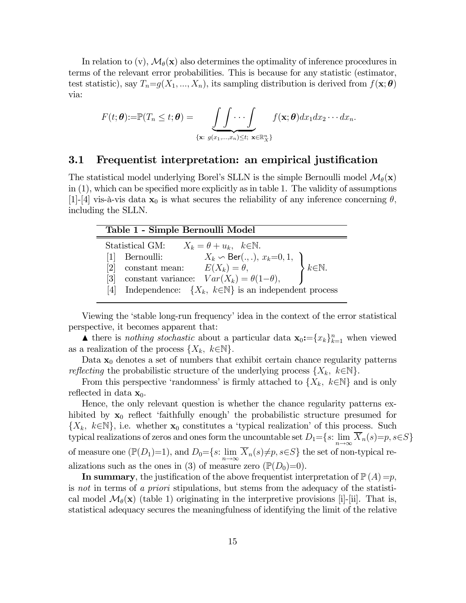In relation to (v),  $\mathcal{M}_{\theta}(\mathbf{x})$  also determines the optimality of inference procedures in terms of the relevant error probabilities. This is because for any statistic (estimator, test statistic), say  $T_n = g(X_1, ..., X_n)$ , its sampling distribution is derived from  $f(\mathbf{x}; \boldsymbol{\theta})$ via:

$$
F(t; \theta) := \mathbb{P}(T_n \leq t; \theta) = \underbrace{\int \int \cdots \int}_{\{\mathbf{x} : g(x_1, \ldots, x_n) \leq t; \ \mathbf{x} \in \mathbb{R}_X^n\}} f(\mathbf{x}; \theta) dx_1 dx_2 \cdots dx_n.
$$

### 3.1 Frequentist interpretation: an empirical justification

The statistical model underlying Borel's SLLN is the simple Bernoulli model  $\mathcal{M}_{\theta}(\mathbf{x})$ in (1), which can be specified more explicitly as in table 1. The validity of assumptions [1]-[4] vis-à-vis data  $\mathbf{x}_0$  is what secures the reliability of any inference concerning  $\theta$ , including the SLLN.

| Table 1 - Simple Bernoulli Model                                                         |                           |  |  |
|------------------------------------------------------------------------------------------|---------------------------|--|--|
| Statistical GM:<br>$X_k = \theta + u_k, \quad k \in \mathbb{N}.$                         |                           |  |  |
| Pernoulli: $X_k \backsim \text{Ber}(.,.), x_k=0,1,$<br>constant mean: $E(X_k) = \theta,$ |                           |  |  |
| [2]                                                                                      | $\sum k \in \mathbb{N}$ . |  |  |
| constant variance: $Var(X_k) = \theta(1-\theta)$ ,<br>[3]                                |                           |  |  |
| Independence: $\{X_k, k \in \mathbb{N}\}\$ is an independent process                     |                           |  |  |

Viewing the 'stable long-run frequency' idea in the context of the error statistical perspective, it becomes apparent that:

**▲** there is *nothing stochastic* about a particular data  $\mathbf{x}_0 := \{x_k\}_{k=1}^n$  when viewed as a realization of the process  $\{X_k, k \in \mathbb{N}\}.$ 

Data  $x_0$  denotes a set of numbers that exhibit certain chance regularity patterns *reflecting* the probabilistic structure of the underlying process  $\{X_k, k \in \mathbb{N}\}.$ 

From this perspective 'randomness' is firmly attached to  $\{X_k, k \in \mathbb{N}\}\$  and is only reflected in data  $\mathbf{x}_0$ .

Hence, the only relevant question is whether the chance regularity patterns exhibited by  $x_0$  reflect 'faithfully enough' the probabilistic structure presumed for  ${X_k, k \in \mathbb{N}}$ , i.e. whether  $\mathbf{x}_0$  constitutes a 'typical realization' of this process. Such typical realizations of zeros and ones form the uncountable set  $D_1={s:\lim_{n\to\infty}\overline{X}_n(s)=p, s\in S}$ of measure one ( $\mathbb{P}(D_1)=1$ ), and  $D_0=\{s: \lim_{n\to\infty}\overline{X}_n(s)\neq p, s\in S\}$  the set of non-typical realizations such as the ones in (3) of measure zero  $(\mathbb{P}(D_0)=0)$ .

In summary, the justification of the above frequentist interpretation of  $\mathbb{P}(A) = p$ , is not in terms of a priori stipulations, but stems from the adequacy of the statistical model  $\mathcal{M}_{\theta}(\mathbf{x})$  (table 1) originating in the interpretive provisions [i]-[ii]. That is, statistical adequacy secures the meaningfulness of identifying the limit of the relative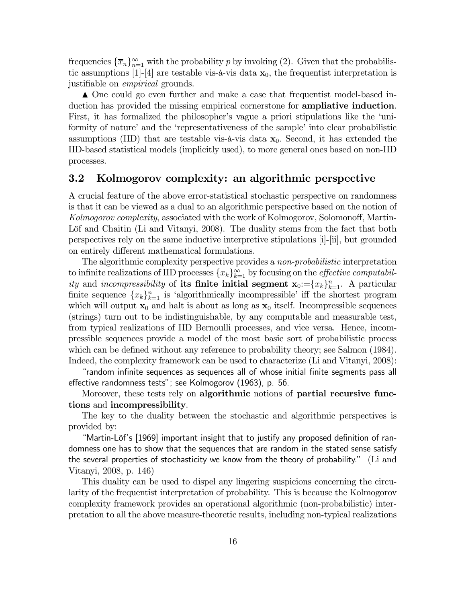frequencies  $\{\overline{x}_n\}_{n=1}^{\infty}$  with the probability p by invoking (2). Given that the probabilistic assumptions [1]-[4] are testable vis-à-vis data  $x_0$ , the frequentist interpretation is justifiable on empirical grounds.

N One could go even further and make a case that frequentist model-based induction has provided the missing empirical cornerstone for **ampliative induction**. First, it has formalized the philosopher's vague a priori stipulations like the 'uniformity of nature' and the 'representativeness of the sample' into clear probabilistic assumptions (IID) that are testable vis-à-vis data  $x_0$ . Second, it has extended the IID-based statistical models (implicitly used), to more general ones based on non-IID processes.

# 3.2 Kolmogorov complexity: an algorithmic perspective

A crucial feature of the above error-statistical stochastic perspective on randomness is that it can be viewed as a dual to an algorithmic perspective based on the notion of Kolmogorov complexity, associated with the work of Kolmogorov, Solomonoff, Martin-Löf and Chaitin (Li and Vitanyi, 2008). The duality stems from the fact that both perspectives rely on the same inductive interpretive stipulations [i]-[ii], but grounded on entirely different mathematical formulations.

The algorithmic complexity perspective provides a *non-probabilistic* interpretation to infinite realizations of IID processes  ${x_k}_{k=1}^{\infty}$  by focusing on the *effective computabil*ity and incompressibility of its finite initial segment  $\mathbf{x}_0 := \{x_k\}_{k=1}^n$ . A particular finite sequence  ${x_k}_{k=1}^n$  is 'algorithmically incompressible' iff the shortest program which will output  $x_0$  and halt is about as long as  $x_0$  itself. Incompressible sequences (strings) turn out to be indistinguishable, by any computable and measurable test, from typical realizations of IID Bernoulli processes, and vice versa. Hence, incompressible sequences provide a model of the most basic sort of probabilistic process which can be defined without any reference to probability theory; see Salmon (1984). Indeed, the complexity framework can be used to characterize (Li and Vitanyi, 2008):

"random infinite sequences as sequences all of whose initial finite segments pass all effective randomness tests"; see Kolmogorov (1963), p. 56.

Moreover, these tests rely on algorithmic notions of partial recursive functions and incompressibility.

The key to the duality between the stochastic and algorithmic perspectives is provided by:

"Martin-Löf's [1969] important insight that to justify any proposed definition of randomness one has to show that the sequences that are random in the stated sense satisfy the several properties of stochasticity we know from the theory of probability." (Li and Vitanyi, 2008, p. 146)

This duality can be used to dispel any lingering suspicions concerning the circularity of the frequentist interpretation of probability. This is because the Kolmogorov complexity framework provides an operational algorithmic (non-probabilistic) interpretation to all the above measure-theoretic results, including non-typical realizations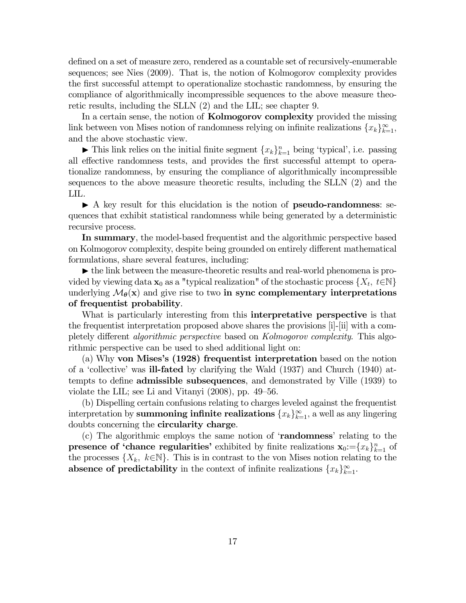defined on a set of measure zero, rendered as a countable set of recursively-enumerable sequences; see Nies (2009). That is, the notion of Kolmogorov complexity provides the first successful attempt to operationalize stochastic randomness, by ensuring the compliance of algorithmically incompressible sequences to the above measure theoretic results, including the SLLN (2) and the LIL; see chapter 9.

In a certain sense, the notion of **Kolmogorov complexity** provided the missing link between von Mises notion of randomness relying on infinite realizations  ${x_k}_{k=1}^{\infty}$ , and the above stochastic view.

It This link relies on the initial finite segment  ${x_k}_{k=1}^n$  being 'typical', i.e. passing all effective randomness tests, and provides the first successful attempt to operationalize randomness, by ensuring the compliance of algorithmically incompressible sequences to the above measure theoretic results, including the SLLN (2) and the LIL.

 $\blacktriangleright$  A key result for this elucidation is the notion of **pseudo-randomness**: sequences that exhibit statistical randomness while being generated by a deterministic recursive process.

In summary, the model-based frequentist and the algorithmic perspective based on Kolmogorov complexity, despite being grounded on entirely different mathematical formulations, share several features, including:

 $\triangleright$  the link between the measure-theoretic results and real-world phenomena is provided by viewing data  $\mathbf{x}_0$  as a "typical realization" of the stochastic process  $\{X_t, t \in \mathbb{N}\}\$ underlying  $\mathcal{M}_{\theta}(\mathbf{x})$  and give rise to two in sync complementary interpretations of frequentist probability.

What is particularly interesting from this **interpretative perspective** is that the frequentist interpretation proposed above shares the provisions [i]-[ii] with a completely different algorithmic perspective based on Kolmogorov complexity. This algorithmic perspective can be used to shed additional light on:

(a) Why von Mises's (1928) frequentist interpretation based on the notion of a 'collective' was ill-fated by clarifying the Wald (1937) and Church (1940) attempts to define admissible subsequences, and demonstrated by Ville (1939) to violate the LIL; see Li and Vitanyi (2008), pp. 49—56.

(b) Dispelling certain confusions relating to charges leveled against the frequentist interpretation by **summoning infinite realizations**  ${x_k}_{k=1}^{\infty}$ , a well as any lingering doubts concerning the circularity charge.

(c) The algorithmic employs the same notion of 'randomness' relating to the **presence of 'chance regularities'** exhibited by finite realizations  $\mathbf{x}_0 := \{x_k\}_{k=1}^n$  of the processes  $\{X_k, k \in \mathbb{N}\}\.$  This is in contrast to the von Mises notion relating to the absence of predictability in the context of infinite realizations  $\{x_k\}_{k=1}^{\infty}$ .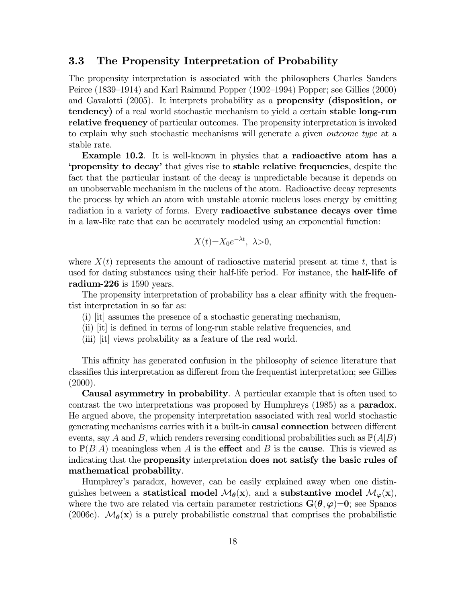### 3.3 The Propensity Interpretation of Probability

The propensity interpretation is associated with the philosophers Charles Sanders Peirce (1839—1914) and Karl Raimund Popper (1902—1994) Popper; see Gillies (2000) and Gavalotti (2005). It interprets probability as a propensity (disposition, or tendency) of a real world stochastic mechanism to yield a certain stable long-run relative frequency of particular outcomes. The propensity interpretation is invoked to explain why such stochastic mechanisms will generate a given outcome type at a stable rate.

Example 10.2. It is well-known in physics that a radioactive atom has a 'propensity to decay' that gives rise to stable relative frequencies, despite the fact that the particular instant of the decay is unpredictable because it depends on an unobservable mechanism in the nucleus of the atom. Radioactive decay represents the process by which an atom with unstable atomic nucleus loses energy by emitting radiation in a variety of forms. Every radioactive substance decays over time in a law-like rate that can be accurately modeled using an exponential function:

$$
X(t)=X_0e^{-\lambda t}, \ \lambda>0,
$$

where  $X(t)$  represents the amount of radioactive material present at time  $t$ , that is used for dating substances using their half-life period. For instance, the **half-life of** radium-226 is 1590 years.

The propensity interpretation of probability has a clear affinity with the frequentist interpretation in so far as:

- (i) [it] assumes the presence of a stochastic generating mechanism,
- (ii) [it] is defined in terms of long-run stable relative frequencies, and
- (iii) [it] views probability as a feature of the real world.

This affinity has generated confusion in the philosophy of science literature that classifies this interpretation as different from the frequentist interpretation; see Gillies  $(2000).$ 

Causal asymmetry in probability. A particular example that is often used to contrast the two interpretations was proposed by Humphreys (1985) as a **paradox**. He argued above, the propensity interpretation associated with real world stochastic generating mechanisms carries with it a built-in causal connection between different events, say A and B, which renders reversing conditional probabilities such as  $\mathbb{P}(A|B)$ to  $\mathbb{P}(B|A)$  meaningless when A is the **effect** and B is the **cause**. This is viewed as indicating that the propensity interpretation does not satisfy the basic rules of mathematical probability.

Humphrey's paradox, however, can be easily explained away when one distinguishes between a statistical model  $\mathcal{M}_{\theta}(\mathbf{x})$ , and a substantive model  $\mathcal{M}_{\varphi}(\mathbf{x})$ , where the two are related via certain parameter restrictions  $\mathbf{G}(\theta,\varphi)=0$ ; see Spanos (2006c).  $\mathcal{M}_{\theta}(\mathbf{x})$  is a purely probabilistic construal that comprises the probabilistic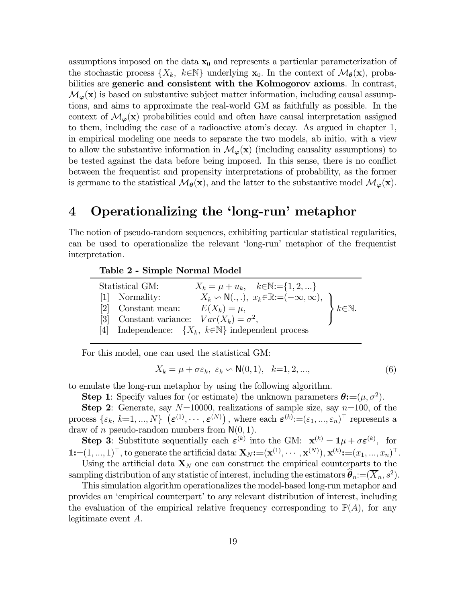assumptions imposed on the data  $x_0$  and represents a particular parameterization of the stochastic process  $\{X_k, k \in \mathbb{N}\}\$  underlying  $\mathbf{x}_0$ . In the context of  $\mathcal{M}_{\theta}(\mathbf{x})$ , probabilities are generic and consistent with the Kolmogorov axioms. In contrast,  $\mathcal{M}_{\varphi}(\mathbf{x})$  is based on substantive subject matter information, including causal assumptions, and aims to approximate the real-world GM as faithfully as possible. In the context of  $\mathcal{M}_{\varphi}(\mathbf{x})$  probabilities could and often have causal interpretation assigned to them, including the case of a radioactive atom's decay. As argued in chapter 1, in empirical modeling one needs to separate the two models, ab initio, with a view to allow the substantive information in  $\mathcal{M}_{\varphi}(\mathbf{x})$  (including causality assumptions) to be tested against the data before being imposed. In this sense, there is no conflict between the frequentist and propensity interpretations of probability, as the former is germane to the statistical  $\mathcal{M}_{\theta}(\mathbf{x})$ , and the latter to the substantive model  $\mathcal{M}_{\varphi}(\mathbf{x})$ .

# 4 Operationalizing the 'long-run' metaphor

The notion of pseudo-random sequences, exhibiting particular statistical regularities, can be used to operationalize the relevant 'long-run' metaphor of the frequentist interpretation.

| Table 2 - Simple Normal Model                                                          |                      |  |  |
|----------------------------------------------------------------------------------------|----------------------|--|--|
| Statistical GM:<br>$X_k = \mu + u_k, \quad k \in \mathbb{N} := \{1, 2, \}$             |                      |  |  |
| $X_k \backsim \mathsf{N}(.,.), x_k \in \mathbb{R} := (-\infty, \infty),$<br>Normality: |                      |  |  |
| $E(X_k) = \mu,$<br>Constant mean:<br> 2                                                | $k \in \mathbb{N}$ . |  |  |
| Constant variance: $Var(X_k) = \sigma^2$ ,<br> 3                                       |                      |  |  |
| Independence: $\{X_k, k \in \mathbb{N}\}\$ independent process                         |                      |  |  |

For this model, one can used the statistical GM:

$$
X_k = \mu + \sigma \varepsilon_k, \ \varepsilon_k \backsim \mathsf{N}(0,1), \ \ k=1,2,\dots,\tag{6}
$$

to emulate the long-run metaphor by using the following algorithm.

**Step 1**: Specify values for (or estimate) the unknown parameters  $\theta := (\mu, \sigma^2)$ .

**Step 2:** Generate, say  $N=10000$ , realizations of sample size, say  $n=100$ , of the process  $\{\varepsilon_k, k=1,...,N\}$   $(\boldsymbol{\varepsilon}^{(1)}, \cdots, \boldsymbol{\varepsilon}^{(N)})$ , where each  $\boldsymbol{\varepsilon}^{(k)}:=(\varepsilon_1, ..., \varepsilon_n)^\top$  represents a draw of *n* pseudo-random numbers from  $N(0, 1)$ .

**Step 3:** Substitute sequentially each  $\varepsilon^{(k)}$  into the GM:  $\mathbf{x}^{(k)} = \mathbf{1}\mu + \sigma \varepsilon^{(k)}$ , for  $\mathbf{1} := (1, ..., 1)^\top$ , to generate the artificial data:  $\mathbf{X}_N := (\mathbf{x}^{(1)}, \cdots, \mathbf{x}^{(N)}), \mathbf{x}^{(k)} := (x_1, ..., x_n)^\top$ . Using the artificial data  $\mathbf{X}_N$  one can construct the empirical counterparts to the

sampling distribution of any statistic of interest, including the estimators  $\theta_n := (\overline{X}_n, s^2)$ . This simulation algorithm operationalizes the model-based long-run metaphor and

provides an 'empirical counterpart' to any relevant distribution of interest, including the evaluation of the empirical relative frequency corresponding to  $\mathbb{P}(A)$ , for any legitimate event  $A$ .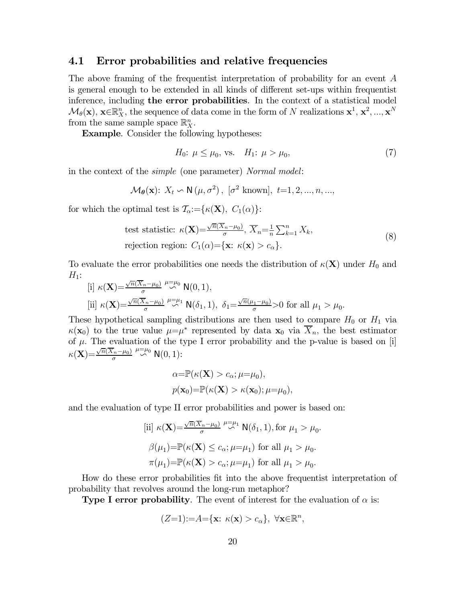## 4.1 Error probabilities and relative frequencies

The above framing of the frequentist interpretation of probability for an event A is general enough to be extended in all kinds of different set-ups within frequentist inference, including **the error probabilities**. In the context of a statistical model  $\mathcal{M}_{\theta}(\mathbf{x}), \mathbf{x} \in \mathbb{R}_{X}^{n}$ , the sequence of data come in the form of N realizations  $\mathbf{x}^{1}, \mathbf{x}^{2}, ..., \mathbf{x}^{N}$ from the same sample space  $\mathbb{R}_{X}^{n}$ .

Example. Consider the following hypotheses:

$$
H_0: \ \mu \le \mu_0, \ \text{vs.} \quad H_1: \ \mu > \mu_0,\tag{7}
$$

in the context of the simple (one parameter) Normal model:

$$
\mathcal{M}_{\theta}(\mathbf{x})\colon X_t \backsim \mathsf{N}(\mu, \sigma^2), \ [\sigma^2 \text{ known}], \ t=1, 2, ..., n, ...,
$$

for which the optimal test is  $\mathcal{T}_{\alpha}:=\{\kappa(\mathbf{X}), C_1(\alpha)\}\$ :

test statistic: 
$$
\kappa(\mathbf{X}) = \frac{\sqrt{n}(\overline{X}_n - \mu_0)}{\sigma}, \overline{X}_n = \frac{1}{n} \sum_{k=1}^n X_k,
$$
  
rejection region:  $C_1(\alpha) = {\mathbf{x}: \kappa(\mathbf{x}) > c_\alpha}.$  (8)

To evaluate the error probabilities one needs the distribution of  $\kappa(X)$  under  $H_0$  and  $H_1$ :

$$
\begin{aligned}\n\text{[i]} \ \kappa(\mathbf{X}) &= \frac{\sqrt{n}(\overline{X}_n - \mu_0)}{\sigma} \stackrel{\mu = \mu_0}{\sim} \mathsf{N}(0, 1), \\
\text{[ii]} \ \kappa(\mathbf{X}) &= \frac{\sqrt{n}(\overline{X}_n - \mu_0)}{\sigma} \stackrel{\mu = \mu_1}{\sim} \mathsf{N}(\delta_1, 1), \ \delta_1 = \frac{\sqrt{n}(\mu_1 - \mu_0)}{\sigma} > 0 \text{ for all } \mu_1 > \mu_0.\n\end{aligned}
$$

These hypothetical sampling distributions are then used to compare  $H_0$  or  $H_1$  via  $\kappa(\mathbf{x}_0)$  to the true value  $\mu=\mu^*$  represented by data  $\mathbf{x}_0$  via  $\overline{X}_n$ , the best estimator of  $\mu$ . The evaluation of the type I error probability and the p-value is based on [i]  $\kappa(\mathbf{X}) = \frac{\sqrt{n}(\overline{X}_n - \mu_0)}{\sigma} \stackrel{\mu = \mu_0}{\sim} \mathsf{N}(0, 1)$ :

$$
\alpha = \mathbb{P}(\kappa(\mathbf{X}) > c_{\alpha}; \mu = \mu_0),
$$
  

$$
p(\mathbf{x}_0) = \mathbb{P}(\kappa(\mathbf{X}) > \kappa(\mathbf{x}_0); \mu = \mu_0),
$$

and the evaluation of type II error probabilities and power is based on:

$$
\begin{aligned} \text{[ii]} \ \ \kappa(\mathbf{X}) &= \frac{\sqrt{n}(\overline{X}_n - \mu_0)}{\sigma} \xrightarrow{\mu = \mu_1} \mathsf{N}(\delta_1, 1), \text{for } \mu_1 > \mu_0. \\ \beta(\mu_1) &= \mathbb{P}(\kappa(\mathbf{X}) \le c_\alpha; \mu = \mu_1) \text{ for all } \mu_1 > \mu_0. \\ \pi(\mu_1) &= \mathbb{P}(\kappa(\mathbf{X}) > c_\alpha; \mu = \mu_1) \text{ for all } \mu_1 > \mu_0. \end{aligned}
$$

How do these error probabilities fit into the above frequentist interpretation of probability that revolves around the long-run metaphor?

**Type I error probability**. The event of interest for the evaluation of  $\alpha$  is:

$$
(Z=1):=A=\{\mathbf{x}:\ \kappa(\mathbf{x})>c_{\alpha}\},\ \forall \mathbf{x}\in\mathbb{R}^{n},
$$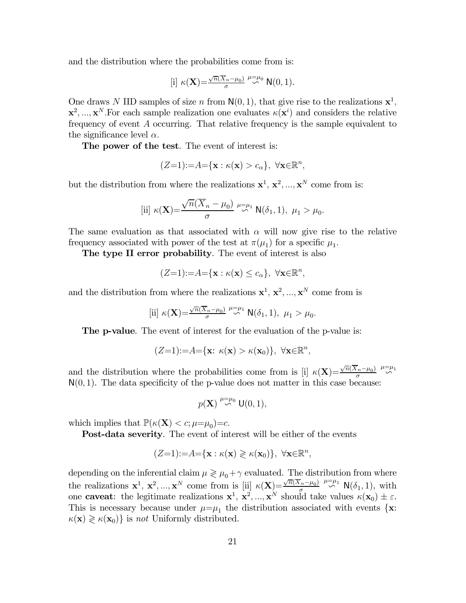and the distribution where the probabilities come from is:

$$
[\text{i}] \ \kappa(\mathbf{X}) = \frac{\sqrt{n}(\overline{X}_n - \mu_0)}{\sigma} \stackrel{\mu = \mu_0}{\sim} \mathsf{N}(0,1).
$$

One draws N IID samples of size n from  $N(0, 1)$ , that give rise to the realizations  $x^1$ ,  $\mathbf{x}^2, ..., \mathbf{x}^N$ . For each sample realization one evaluates  $\kappa(\mathbf{x}^i)$  and considers the relative frequency of event  $A$  occurring. That relative frequency is the sample equivalent to the significance level  $\alpha$ .

The power of the test. The event of interest is:

$$
(Z=1):=A=\{\mathbf{x}:\kappa(\mathbf{x})>c_{\alpha}\},\ \forall \mathbf{x}\in\mathbb{R}^{n},
$$

but the distribution from where the realizations  $x^1, x^2, ..., x^N$  come from is:

$$
[\text{ii}] \ \kappa(\mathbf{X}) = \frac{\sqrt{n}(\overline{X}_n - \mu_0)}{\sigma} \stackrel{\mu = \mu_1}{\leadsto} \mathsf{N}(\delta_1, 1), \ \mu_1 > \mu_0.
$$

The same evaluation as that associated with  $\alpha$  will now give rise to the relative frequency associated with power of the test at  $\pi(\mu_1)$  for a specific  $\mu_1$ .

The type II error probability. The event of interest is also

$$
(Z=1):=A=\{\mathbf{x}:\kappa(\mathbf{x})\leq c_{\alpha}\},\ \forall \mathbf{x}\in\mathbb{R}^{n},
$$

and the distribution from where the realizations  $\mathbf{x}^1, \mathbf{x}^2, ..., \mathbf{x}^N$  come from is

$$
[\text{ii}] \ \kappa(\mathbf{X}) = \frac{\sqrt{n}(\overline{X}_n - \mu_0)}{\sigma} \stackrel{\mu = \mu_1}{\sim} \mathsf{N}(\delta_1, 1), \ \mu_1 > \mu_0.
$$

The p-value. The event of interest for the evaluation of the p-value is:

$$
(Z=1):=A=\{\mathbf{x}:\ \kappa(\mathbf{x})>\kappa(\mathbf{x}_0)\},\ \forall \mathbf{x}\in\mathbb{R}^n,
$$

and the distribution where the probabilities come from is [i]  $\kappa(\mathbf{X})=\frac{\sqrt{n}(\overline{X}_n-\mu_0)}{\sigma} \stackrel{\mu=\mu_1}{\sim}$  $N(0, 1)$ . The data specificity of the p-value does not matter in this case because:

$$
p(\mathbf{X}) \stackrel{\mu=\mu_0}{\sim} \mathsf{U}(0,1),
$$

which implies that  $\mathbb{P}(\kappa(\mathbf{X}) < c; \mu=\mu_0)=c$ .

Post-data severity. The event of interest will be either of the events

$$
(Z=1):=A=\{\mathbf{x}:\kappa(\mathbf{x})\geqslant \kappa(\mathbf{x}_0)\},\ \forall \mathbf{x}\in\mathbb{R}^n,
$$

depending on the inferential claim  $\mu \geq \mu_0 + \gamma$  evaluated. The distribution from where the realizations  $\mathbf{x}^1$ ,  $\mathbf{x}^2$ , ...,  $\mathbf{x}^N$  come from is [ii]  $\kappa(\mathbf{X})=\frac{\sqrt{n}(\overline{X}_n-\mu_0)}{\sigma} \stackrel{\mu=\mu_1}{\sim} \mathsf{N}(\delta_1,1)$ , with one **caveat**: the legitimate realizations  $\mathbf{x}^1$ ,  $\mathbf{x}^2$ , ...,  $\mathbf{x}^N$  should take values  $\kappa(\mathbf{x}_0) \pm \varepsilon$ . This is necessary because under  $\mu=\mu_1$  the distribution associated with events  $\{x:$  $\kappa(\mathbf{x}) \geq \kappa(\mathbf{x}_0)$  is not Uniformly distributed.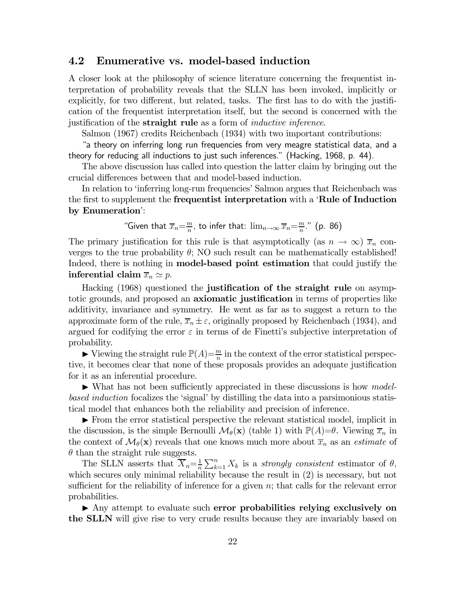# 4.2 Enumerative vs. model-based induction

A closer look at the philosophy of science literature concerning the frequentist interpretation of probability reveals that the SLLN has been invoked, implicitly or explicitly, for two different, but related, tasks. The first has to do with the justification of the frequentist interpretation itself, but the second is concerned with the justification of the **straight rule** as a form of *inductive inference*.

Salmon (1967) credits Reichenbach (1934) with two important contributions:

"a theory on inferring long run frequencies from very meagre statistical data, and a theory for reducing all inductions to just such inferences." (Hacking, 1968, p. 44).

The above discussion has called into question the latter claim by bringing out the crucial differences between that and model-based induction.

In relation to 'inferring long-run frequencies' Salmon argues that Reichenbach was the first to supplement the **frequentist interpretation** with a '**Rule of Induction** by Enumeration':

"Given that 
$$
\overline{x}_n = \frac{m}{n}
$$
, to infer that:  $\lim_{n \to \infty} \overline{x}_n = \frac{m}{n}$ ." (p. 86)

The primary justification for this rule is that asymptotically (as  $n \to \infty$ )  $\overline{x}_n$  converges to the true probability  $\theta$ ; NO such result can be mathematically established! Indeed, there is nothing in **model-based point estimation** that could justify the inferential claim  $\overline{x}_n \simeq p$ .

Hacking (1968) questioned the justification of the straight rule on asymptotic grounds, and proposed an **axiomatic justification** in terms of properties like additivity, invariance and symmetry. He went as far as to suggest a return to the approximate form of the rule,  $\overline{x}_n \pm \varepsilon$ , originally proposed by Reichenbach (1934), and argued for codifying the error  $\varepsilon$  in terms of de Finetti's subjective interpretation of probability.

 $\blacktriangleright$  Viewing the straight rule  $\mathbb{P}(A) = \frac{m}{n}$  in the context of the error statistical perspective, it becomes clear that none of these proposals provides an adequate justification for it as an inferential procedure.

 $\blacktriangleright$  What has not been sufficiently appreciated in these discussions is how modelbased induction focalizes the 'signal' by distilling the data into a parsimonious statistical model that enhances both the reliability and precision of inference.

 $\blacktriangleright$  From the error statistical perspective the relevant statistical model, implicit in the discussion, is the simple Bernoulli  $\mathcal{M}_{\theta}(\mathbf{x})$  (table 1) with  $\mathbb{P}(A)=\theta$ . Viewing  $\overline{x}_n$  in the context of  $\mathcal{M}_{\theta}(\mathbf{x})$  reveals that one knows much more about  $\overline{x}_n$  as an *estimate* of  $\theta$  than the straight rule suggests.

The SLLN asserts that  $\overline{X}_n = \frac{1}{n} \sum_{k=1}^n X_k$  is a *strongly consistent* estimator of  $\theta$ , which secures only minimal reliability because the result in  $(2)$  is necessary, but not sufficient for the reliability of inference for a given  $n$ ; that calls for the relevant error probabilities.

 $\blacktriangleright$  Any attempt to evaluate such error probabilities relying exclusively on the SLLN will give rise to very crude results because they are invariably based on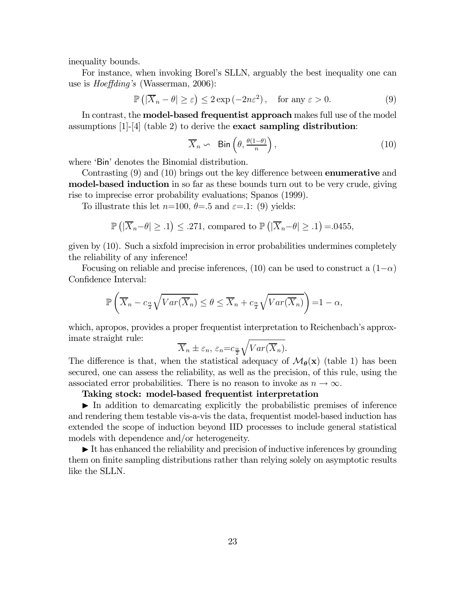inequality bounds.

For instance, when invoking Borel's SLLN, arguably the best inequality one can use is *Hoeffding's* (Wasserman, 2006):

$$
\mathbb{P}\left(|\overline{X}_n - \theta| \ge \varepsilon\right) \le 2\exp\left(-2n\varepsilon^2\right), \quad \text{for any } \varepsilon > 0. \tag{9}
$$

In contrast, the **model-based frequentist approach** makes full use of the model assumptions  $[1]-[4]$  (table 2) to derive the **exact sampling distribution**:

$$
\overline{X}_n \backsim \quad \text{Bin}\left(\theta, \frac{\theta(1-\theta)}{n}\right),\tag{10}
$$

where 'Bin' denotes the Binomial distribution.

Contrasting (9) and (10) brings out the key difference between enumerative and model-based induction in so far as these bounds turn out to be very crude, giving rise to imprecise error probability evaluations; Spanos (1999).

To illustrate this let  $n=100$ ,  $\theta=.5$  and  $\varepsilon=.1$ : (9) yields:

$$
\mathbb{P}\left(|\overline{X}_n - \theta| \geq .1\right) \leq .271, \text{ compared to } \mathbb{P}\left(|\overline{X}_n - \theta| \geq .1\right) = .0455,
$$

given by (10). Such a sixfold imprecision in error probabilities undermines completely the reliability of any inference!

Focusing on reliable and precise inferences, (10) can be used to construct a  $(1-\alpha)$ Confidence Interval:

$$
\mathbb{P}\left(\overline{X}_n - c_{\frac{\alpha}{2}}\sqrt{Var(\overline{X}_n)} \le \theta \le \overline{X}_n + c_{\frac{\alpha}{2}}\sqrt{Var(\overline{X}_n)}\right) = 1 - \alpha,
$$

which, apropos, provides a proper frequentist interpretation to Reichenbach's approximate straight rule:

$$
\overline{X}_n \pm \varepsilon_n, \, \varepsilon_n = c_{\frac{\alpha}{2}} \sqrt{Var(\overline{X}_n)}.
$$

The difference is that, when the statistical adequacy of  $\mathcal{M}_{\theta}(\mathbf{x})$  (table 1) has been secured, one can assess the reliability, as well as the precision, of this rule, using the associated error probabilities. There is no reason to invoke as  $n \to \infty$ .

### Taking stock: model-based frequentist interpretation

 $\blacktriangleright$  In addition to demarcating explicitly the probabilistic premises of inference and rendering them testable vis-a-vis the data, frequentist model-based induction has extended the scope of induction beyond IID processes to include general statistical models with dependence and/or heterogeneity.

 $\blacktriangleright$  It has enhanced the reliability and precision of inductive inferences by grounding them on finite sampling distributions rather than relying solely on asymptotic results like the SLLN.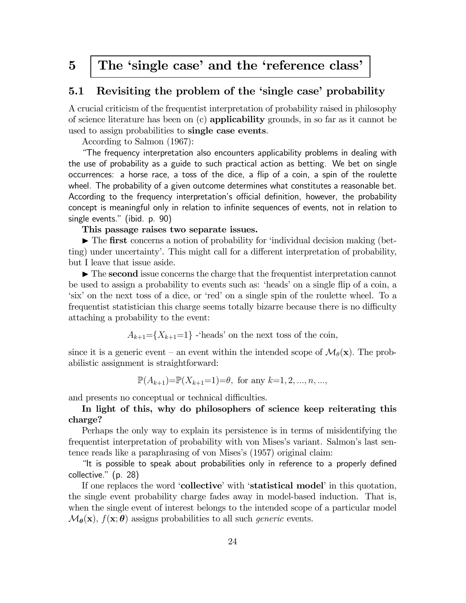# 5 The 'single case' and the 'reference class'

# 5.1 Revisiting the problem of the 'single case' probability

A crucial criticism of the frequentist interpretation of probability raised in philosophy of science literature has been on  $(c)$  applicability grounds, in so far as it cannot be used to assign probabilities to single case events.

According to Salmon (1967):

"The frequency interpretation also encounters applicability problems in dealing with the use of probability as a guide to such practical action as betting. We bet on single occurrences: a horse race, a toss of the dice, a flip of a coin, a spin of the roulette wheel. The probability of a given outcome determines what constitutes a reasonable bet. According to the frequency interpretation's official definition, however, the probability concept is meaningful only in relation to infinite sequences of events, not in relation to single events." (ibid. p. 90)

### This passage raises two separate issues.

 $\triangleright$  The first concerns a notion of probability for 'individual decision making (betting) under uncertainty'. This might call for a different interpretation of probability, but I leave that issue aside.

 $\triangleright$  The second issue concerns the charge that the frequentist interpretation cannot be used to assign a probability to events such as: 'heads' on a single flip of a coin, a 'six' on the next toss of a dice, or 'red' on a single spin of the roulette wheel. To a frequentist statistician this charge seems totally bizarre because there is no difficulty attaching a probability to the event:

 $A_{k+1}=\{X_{k+1}=1\}$  -'heads' on the next toss of the coin,

since it is a generic event – an event within the intended scope of  $\mathcal{M}_{\theta}(\mathbf{x})$ . The probabilistic assignment is straightforward:

 $\mathbb{P}(A_{k+1})=\mathbb{P}(X_{k+1}=1)=\theta$ , for any  $k=1, 2, ..., n, ...,$ 

and presents no conceptual or technical difficulties.

### In light of this, why do philosophers of science keep reiterating this charge?

Perhaps the only way to explain its persistence is in terms of misidentifying the frequentist interpretation of probability with von Mises's variant. Salmon's last sentence reads like a paraphrasing of von Mises's (1957) original claim:

"It is possible to speak about probabilities only in reference to a properly defined collective." (p. 28)

If one replaces the word 'collective' with 'statistical model' in this quotation, the single event probability charge fades away in model-based induction. That is, when the single event of interest belongs to the intended scope of a particular model  $\mathcal{M}_{\theta}(\mathbf{x})$ ,  $f(\mathbf{x}; \theta)$  assigns probabilities to all such *generic* events.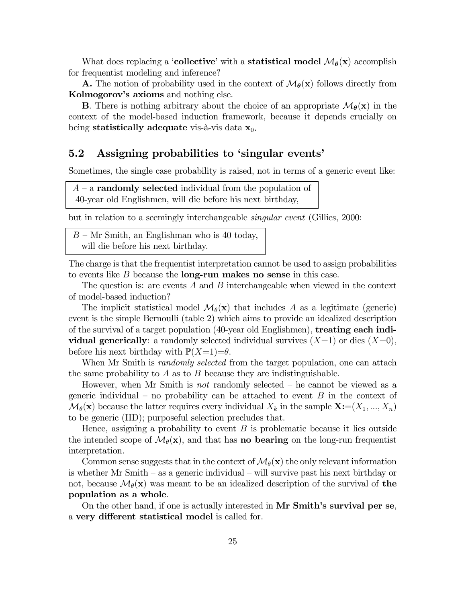What does replacing a 'collective' with a statistical model  $\mathcal{M}_{\theta}(\mathbf{x})$  accomplish for frequentist modeling and inference?

**A.** The notion of probability used in the context of  $\mathcal{M}_{\theta}(\mathbf{x})$  follows directly from Kolmogorov's axioms and nothing else.

**B**. There is nothing arbitrary about the choice of an appropriate  $\mathcal{M}_{\theta}(\mathbf{x})$  in the context of the model-based induction framework, because it depends crucially on being statistically adequate vis-à-vis data  $x_0$ .

## 5.2 Assigning probabilities to 'singular events'

Sometimes, the single case probability is raised, not in terms of a generic event like:

 $A - a$  **randomly selected** individual from the population of 40-year old Englishmen, will die before his next birthday,

but in relation to a seemingly interchangeable singular event (Gillies, 2000:

 $B-Mr$  Smith, an Englishman who is 40 today, will die before his next birthday.

The charge is that the frequentist interpretation cannot be used to assign probabilities to events like  $B$  because the **long-run makes no sense** in this case.

The question is: are events  $A$  and  $B$  interchangeable when viewed in the context of model-based induction?

The implicit statistical model  $\mathcal{M}_{\theta}(\mathbf{x})$  that includes A as a legitimate (generic) event is the simple Bernoulli (table 2) which aims to provide an idealized description of the survival of a target population (40-year old Englishmen), treating each individual generically: a randomly selected individual survives  $(X=1)$  or dies  $(X=0)$ , before his next birthday with  $\mathbb{P}(X=1)=\theta$ .

When Mr Smith is *randomly selected* from the target population, one can attach the same probability to  $A$  as to  $B$  because they are indistinguishable.

However, when Mr Smith is *not* randomly selected  $-$  he cannot be viewed as a generic individual – no probability can be attached to event  $B$  in the context of  $\mathcal{M}_{\theta}(\mathbf{x})$  because the latter requires every individual  $X_k$  in the sample  $\mathbf{X}:=(X_1, ..., X_n)$ to be generic (IID); purposeful selection precludes that.

Hence, assigning a probability to event  $B$  is problematic because it lies outside the intended scope of  $\mathcal{M}_{\theta}(\mathbf{x})$ , and that has **no bearing** on the long-run frequentist interpretation.

Common sense suggests that in the context of  $\mathcal{M}_{\theta}(\mathbf{x})$  the only relevant information is whether Mr Smith — as a generic individual — will survive past his next birthday or not, because  $\mathcal{M}_{\theta}(\mathbf{x})$  was meant to be an idealized description of the survival of the population as a whole.

On the other hand, if one is actually interested in Mr Smith's survival per se, a very different statistical model is called for.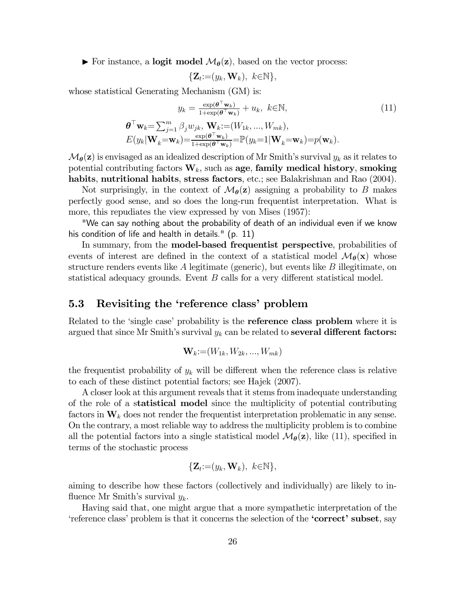$\triangleright$  For instance, a logit model  $\mathcal{M}_{\theta}(\mathbf{z})$ , based on the vector process:

$$
\{\mathbf Z_t:=(y_k,\mathbf W_k),\ k\in\mathbb N\},\
$$

whose statistical Generating Mechanism (GM) is:

$$
y_k = \frac{\exp(\boldsymbol{\theta}^\top \mathbf{w}_k)}{1 + \exp(\boldsymbol{\theta}^\top \mathbf{w}_k)} + u_k, \ k \in \mathbb{N},
$$
  

$$
\boldsymbol{\theta}^\top \mathbf{w}_k = \sum_{j=1}^m \beta_j w_{jk}, \ \mathbf{W}_k := (W_{1k}, ..., W_{mk}),
$$
  

$$
E(y_k | \mathbf{W}_k = \mathbf{w}_k) = \frac{\exp(\boldsymbol{\theta}^\top \mathbf{w}_k)}{1 + \exp(\boldsymbol{\theta}^\top \mathbf{w}_k)} = \mathbb{P}(y_k = 1 | \mathbf{W}_k = \mathbf{w}_k) = p(\mathbf{w}_k).
$$
 (11)

 $\mathcal{M}_{\theta}(\mathbf{z})$  is envisaged as an idealized description of Mr Smith's survival  $y_k$  as it relates to potential contributing factors  $W_k$ , such as age, family medical history, smoking habits, nutritional habits, stress factors, etc.; see Balakrishnan and Rao (2004).

Not surprisingly, in the context of  $\mathcal{M}_{\theta}(\mathbf{z})$  assigning a probability to B makes perfectly good sense, and so does the long-run frequentist interpretation. What is more, this repudiates the view expressed by von Mises (1957):

"We can say nothing about the probability of death of an individual even if we know his condition of life and health in details." (p. 11)

In summary, from the **model-based frequentist perspective**, probabilities of events of interest are defined in the context of a statistical model  $\mathcal{M}_{\theta}(\mathbf{x})$  whose structure renders events like  $A$  legitimate (generic), but events like  $B$  illegitimate, on statistical adequacy grounds. Event  $B$  calls for a very different statistical model.

### 5.3 Revisiting the 'reference class' problem

Related to the 'single case' probability is the **reference class problem** where it is argued that since Mr Smith's survival  $y_k$  can be related to several different factors:

$$
\mathbf{W}_k := (W_{1k}, W_{2k}, \ldots, W_{mk})
$$

the frequentist probability of  $y_k$  will be different when the reference class is relative to each of these distinct potential factors; see Hajek (2007).

A closer look at this argument reveals that it stems from inadequate understanding of the role of a statistical model since the multiplicity of potential contributing factors in  $W_k$  does not render the frequentist interpretation problematic in any sense. On the contrary, a most reliable way to address the multiplicity problem is to combine all the potential factors into a single statistical model  $\mathcal{M}_{\theta}(\mathbf{z})$ , like (11), specified in terms of the stochastic process

$$
\{\mathbf Z_t:=(y_k,\mathbf W_k),\ k\in\mathbb N\},\
$$

aiming to describe how these factors (collectively and individually) are likely to influence Mr Smith's survival  $y_k$ .

Having said that, one might argue that a more sympathetic interpretation of the 'reference class' problem is that it concerns the selection of the 'correct' subset, say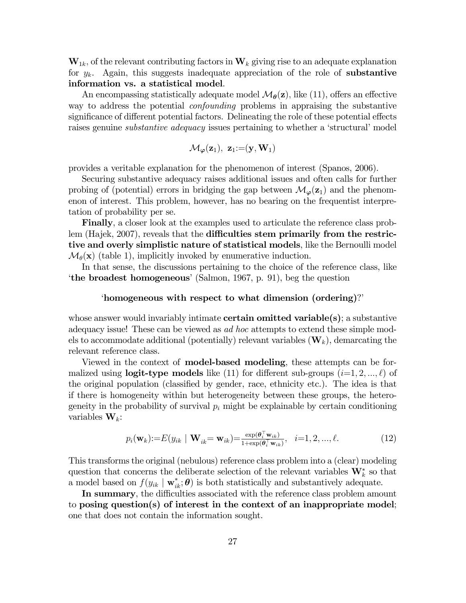$W_{1k}$ , of the relevant contributing factors in  $W_k$  giving rise to an adequate explanation for  $y_k$ . Again, this suggests inadequate appreciation of the role of **substantive** information vs. a statistical model.

An encompassing statistically adequate model  $\mathcal{M}_{\theta}(\mathbf{z})$ , like (11), offers an effective way to address the potential confounding problems in appraising the substantive significance of different potential factors. Delineating the role of these potential effects raises genuine *substantive adequacy* issues pertaining to whether a 'structural' model

$$
\mathcal{M}_{\boldsymbol{\varphi}}(\mathbf{z}_1), \ \mathbf{z}_1 \hspace{-1mm} :=\hspace{-1mm} (\mathbf{y}, \mathbf{W}_1)
$$

provides a veritable explanation for the phenomenon of interest (Spanos, 2006).

Securing substantive adequacy raises additional issues and often calls for further probing of (potential) errors in bridging the gap between  $\mathcal{M}_{\varphi}(z_1)$  and the phenomenon of interest. This problem, however, has no bearing on the frequentist interpretation of probability per se.

Finally, a closer look at the examples used to articulate the reference class problem (Hajek, 2007), reveals that the difficulties stem primarily from the restrictive and overly simplistic nature of statistical models, like the Bernoulli model  $\mathcal{M}_{\theta}(\mathbf{x})$  (table 1), implicitly invoked by enumerative induction.

In that sense, the discussions pertaining to the choice of the reference class, like 'the broadest homogeneous' (Salmon, 1967, p. 91), beg the question

### 'homogeneous with respect to what dimension (ordering)?'

whose answer would invariably intimate **certain omitted variable** $(s)$ ; a substantive adequacy issue! These can be viewed as *ad hoc* attempts to extend these simple models to accommodate additional (potentially) relevant variables  $(\mathbf{W}_k)$ , demarcating the relevant reference class.

Viewed in the context of model-based modeling, these attempts can be formalized using **logit-type models** like (11) for different sub-groups  $(i=1, 2, ..., \ell)$  of the original population (classified by gender, race, ethnicity etc.). The idea is that if there is homogeneity within but heterogeneity between these groups, the heterogeneity in the probability of survival  $p_i$  might be explainable by certain conditioning variables  $\mathbf{W}_k$ :

$$
p_i(\mathbf{w}_k) := E(y_{ik} \mid \mathbf{W}_{ik} = \mathbf{w}_{ik}) = \frac{\exp(\theta_i^{\top} \mathbf{w}_{ik})}{1 + \exp(\theta_i^{\top} \mathbf{w}_{ik})}, \quad i = 1, 2, ..., \ell.
$$
 (12)

This transforms the original (nebulous) reference class problem into a (clear) modeling question that concerns the deliberate selection of the relevant variables  $\mathbf{W}_{k}^{*}$  so that a model based on  $f(y_{ik} | \mathbf{w}_{ik}^*; \boldsymbol{\theta})$  is both statistically and substantively adequate.

In summary, the difficulties associated with the reference class problem amount to posing question(s) of interest in the context of an inappropriate model; one that does not contain the information sought.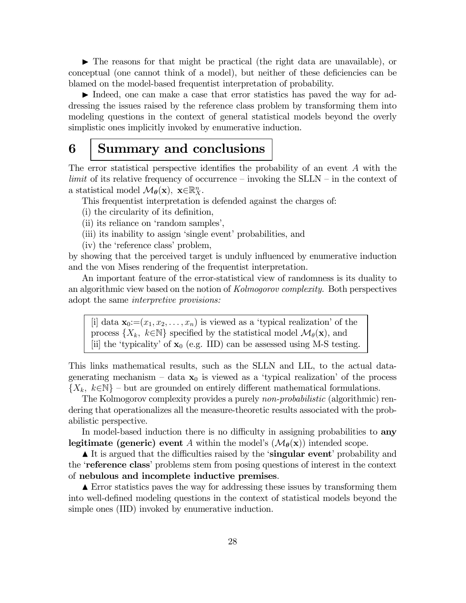$\blacktriangleright$  The reasons for that might be practical (the right data are unavailable), or conceptual (one cannot think of a model), but neither of these deficiencies can be blamed on the model-based frequentist interpretation of probability.

Indeed, one can make a case that error statistics has paved the way for addressing the issues raised by the reference class problem by transforming them into modeling questions in the context of general statistical models beyond the overly simplistic ones implicitly invoked by enumerative induction.

# 6 Summary and conclusions

The error statistical perspective identifies the probability of an event  $A$  with the  $limit$  of its relative frequency of occurrence – invoking the SLLN – in the context of a statistical model  $\mathcal{M}_{\theta}(\mathbf{x})$ ,  $\mathbf{x} \in \mathbb{R}_{X}^{n}$ .

This frequentist interpretation is defended against the charges of:

- (i) the circularity of its definition,
- (ii) its reliance on 'random samples',
- (iii) its inability to assign 'single event' probabilities, and
- (iv) the 'reference class' problem,

by showing that the perceived target is unduly influenced by enumerative induction and the von Mises rendering of the frequentist interpretation.

An important feature of the error-statistical view of randomness is its duality to an algorithmic view based on the notion of Kolmogorov complexity. Both perspectives adopt the same interpretive provisions:

[i] data  $\mathbf{x}_0=(x_1, x_2, \ldots, x_n)$  is viewed as a 'typical realization' of the process  $\{X_k, k \in \mathbb{N}\}\$  specified by the statistical model  $\mathcal{M}_{\theta}(\mathbf{x})$ , and [ii] the 'typicality' of  $\mathbf{x}_0$  (e.g. IID) can be assessed using M-S testing.

This links mathematical results, such as the SLLN and LIL, to the actual datagenerating mechanism – data  $x_0$  is viewed as a 'typical realization' of the process  $\{X_k, k\in\mathbb{N}\}\$  – but are grounded on entirely different mathematical formulations.

The Kolmogorov complexity provides a purely non-probabilistic (algorithmic) rendering that operationalizes all the measure-theoretic results associated with the probabilistic perspective.

In model-based induction there is no difficulty in assigning probabilities to any **legitimate (generic) event** A within the model's  $(\mathcal{M}_{\theta}(\mathbf{x}))$  intended scope.

It is argued that the difficulties raised by the 'singular event' probability and the 'reference class' problems stem from posing questions of interest in the context of nebulous and incomplete inductive premises.

 $\blacktriangle$  Error statistics paves the way for addressing these issues by transforming them into well-defined modeling questions in the context of statistical models beyond the simple ones (IID) invoked by enumerative induction.